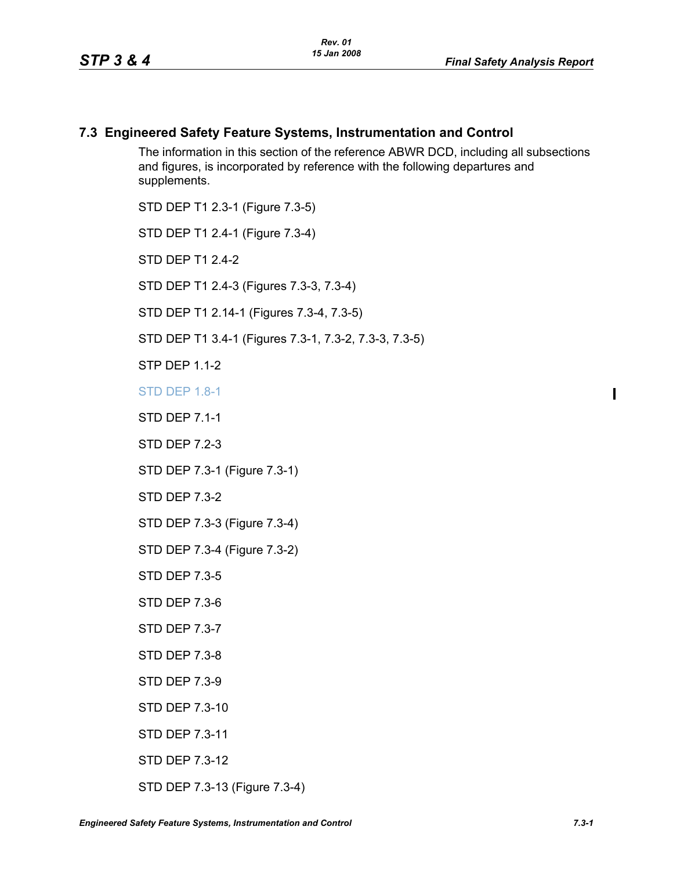# **7.3 Engineered Safety Feature Systems, Instrumentation and Control**

The information in this section of the reference ABWR DCD, including all subsections and figures, is incorporated by reference with the following departures and supplements.

STD DEP T1 2.3-1 (Figure 7.3-5)

STD DEP T1 2.4-1 (Figure 7.3-4)

STD DFP T1 2 4-2

STD DEP T1 2.4-3 (Figures 7.3-3, 7.3-4)

STD DEP T1 2.14-1 (Figures 7.3-4, 7.3-5)

STD DEP T1 3.4-1 (Figures 7.3-1, 7.3-2, 7.3-3, 7.3-5)

**STP DFP 11-2** 

STD DEP 1.8-1

STD DEP 7.1-1

STD DEP 7.2-3

STD DEP 7.3-1 (Figure 7.3-1)

STD DEP 7.3-2

STD DEP 7.3-3 (Figure 7.3-4)

STD DEP 7.3-4 (Figure 7.3-2)

STD DEP 7.3-5

STD DEP 7.3-6

STD DEP 7.3-7

STD DEP 7.3-8

STD DEP 7.3-9

STD DEP 7.3-10

STD DEP 7.3-11

STD DEP 7.3-12

STD DEP 7.3-13 (Figure 7.3-4)

 $\blacksquare$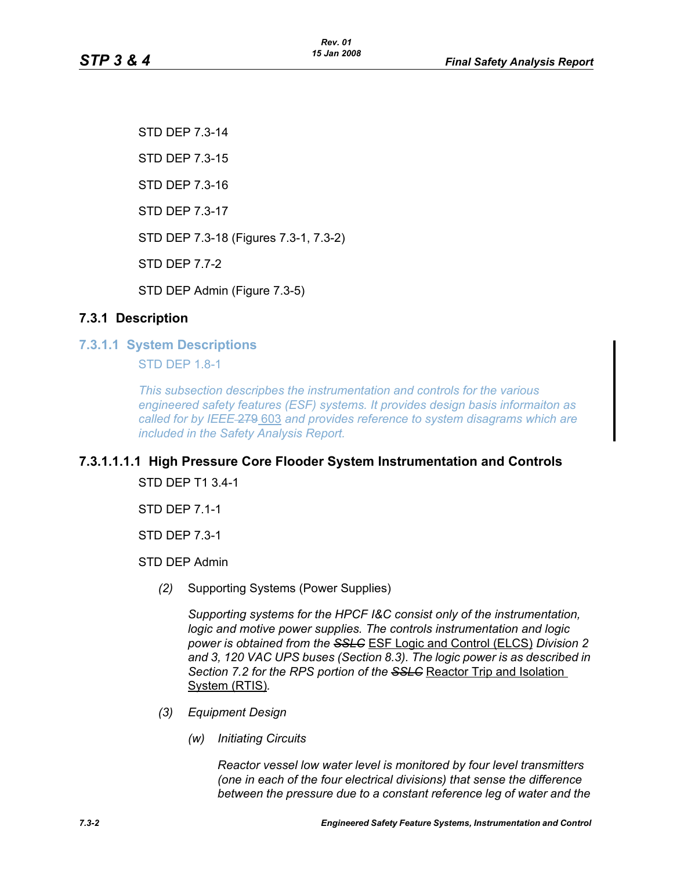STD DEP 7.3-14 STD DEP 7.3-15 STD DEP 7.3-16 STD DEP 7.3-17 STD DEP 7.3-18 (Figures 7.3-1, 7.3-2) STD DEP 7.7-2 STD DEP Admin (Figure 7.3-5)

# **7.3.1 Description**

**7.3.1.1 System Descriptions**

STD DEP 1.8-1

*This subsection descripbes the instrumentation and controls for the various engineered safety features (ESF) systems. It provides design basis informaiton as called for by IEEE* 279 603 *and provides reference to system disagrams which are included in the Safety Analysis Report.*

# **7.3.1.1.1.1 High Pressure Core Flooder System Instrumentation and Controls**

STD DEP T1 3.4-1

STD DEP 7.1-1

STD DEP 7.3-1

STD DEP Admin

*(2)* Supporting Systems (Power Supplies)

*Supporting systems for the HPCF I&C consist only of the instrumentation, logic and motive power supplies. The controls instrumentation and logic power is obtained from the SSLC* ESF Logic and Control (ELCS) *Division 2 and 3, 120 VAC UPS buses (Section 8.3). The logic power is as described in Section 7.2 for the RPS portion of the SSLC* Reactor Trip and Isolation System (RTIS)*.*

- *(3) Equipment Design*
	- *(w) Initiating Circuits*

*Reactor vessel low water level is monitored by four level transmitters (one in each of the four electrical divisions) that sense the difference between the pressure due to a constant reference leg of water and the*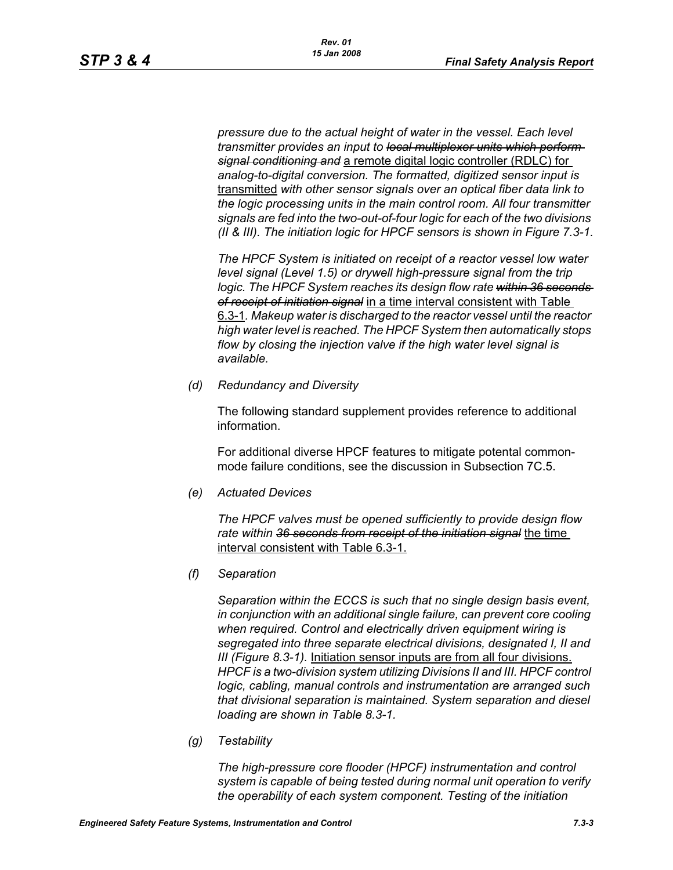*pressure due to the actual height of water in the vessel. Each level transmitter provides an input to local multiplexer units which perform signal conditioning and* a remote digital logic controller (RDLC) for *analog-to-digital conversion. The formatted, digitized sensor input is*  transmitted *with other sensor signals over an optical fiber data link to the logic processing units in the main control room. All four transmitter signals are fed into the two-out-of-four logic for each of the two divisions (II & III). The initiation logic for HPCF sensors is shown in Figure 7.3-1.*

*The HPCF System is initiated on receipt of a reactor vessel low water level signal (Level 1.5) or drywell high-pressure signal from the trip*  logic. The HPCF System reaches its design flow rate within 36 seconds *of receipt of initiation signal* in a time interval consistent with Table 6.3-1*. Makeup water is discharged to the reactor vessel until the reactor high water level is reached. The HPCF System then automatically stops flow by closing the injection valve if the high water level signal is available.*

*(d) Redundancy and Diversity*

The following standard supplement provides reference to additional information.

For additional diverse HPCF features to mitigate potental commonmode failure conditions, see the discussion in Subsection 7C.5.

*(e) Actuated Devices*

*The HPCF valves must be opened sufficiently to provide design flow rate within 36 seconds from receipt of the initiation signal* the time interval consistent with Table 6.3-1.

*(f) Separation*

*Separation within the ECCS is such that no single design basis event, in conjunction with an additional single failure, can prevent core cooling when required. Control and electrically driven equipment wiring is segregated into three separate electrical divisions, designated I, II and III (Figure 8.3-1).* Initiation sensor inputs are from all four divisions. *HPCF is a two-division system utilizing Divisions II and III. HPCF control logic, cabling, manual controls and instrumentation are arranged such that divisional separation is maintained. System separation and diesel loading are shown in Table 8.3-1.*

*(g) Testability*

*The high-pressure core flooder (HPCF) instrumentation and control system is capable of being tested during normal unit operation to verify the operability of each system component. Testing of the initiation*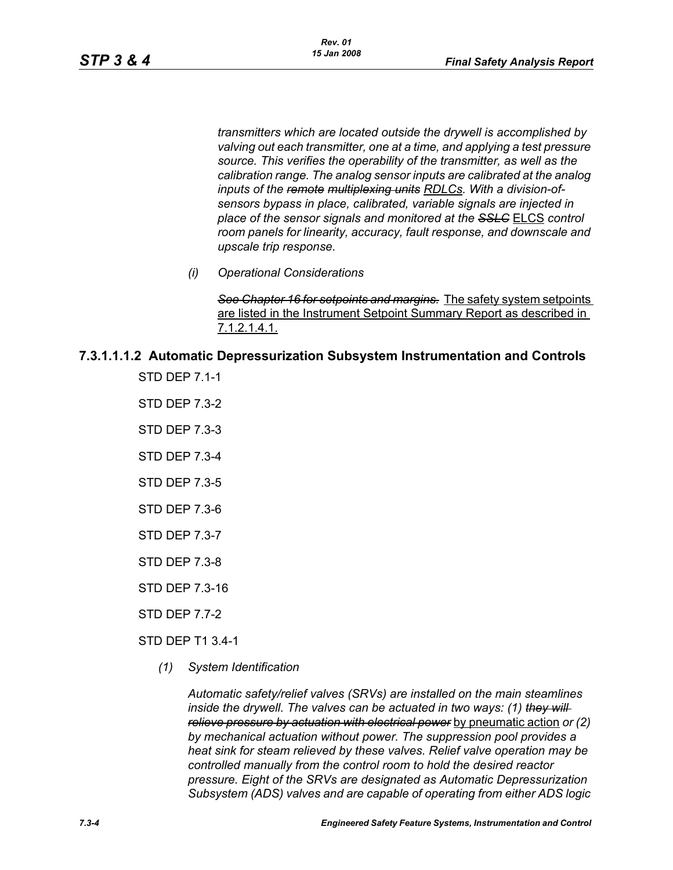*transmitters which are located outside the drywell is accomplished by valving out each transmitter, one at a time, and applying a test pressure source. This verifies the operability of the transmitter, as well as the calibration range. The analog sensor inputs are calibrated at the analog inputs of the remote multiplexing units RDLCs. With a division-ofsensors bypass in place, calibrated, variable signals are injected in place of the sensor signals and monitored at the SSLC* ELCS *control room panels for linearity, accuracy, fault response, and downscale and upscale trip response.*

*(i) Operational Considerations*

*See Chapter 16 for setpoints and margins.* The safety system setpoints are listed in the Instrument Setpoint Summary Report as described in 7.1.2.1.4.1.

# **7.3.1.1.1.2 Automatic Depressurization Subsystem Instrumentation and Controls**

STD DEP 7.1-1

- STD DEP 7.3-2
- STD DEP 7.3-3
- STD DEP 7.3-4
- STD DEP 7.3-5
- STD DEP 7.3-6
- STD DEP 7.3-7
- STD DEP 7.3-8
- STD DEP 7.3-16
- STD DEP 7.7-2

STD DEP T1 3.4-1

*(1) System Identification*

*Automatic safety/relief valves (SRVs) are installed on the main steamlines inside the drywell. The valves can be actuated in two ways: (1) they will relieve pressure by actuation with electrical power* by pneumatic action *or (2) by mechanical actuation without power. The suppression pool provides a heat sink for steam relieved by these valves. Relief valve operation may be controlled manually from the control room to hold the desired reactor pressure. Eight of the SRVs are designated as Automatic Depressurization Subsystem (ADS) valves and are capable of operating from either ADS logic*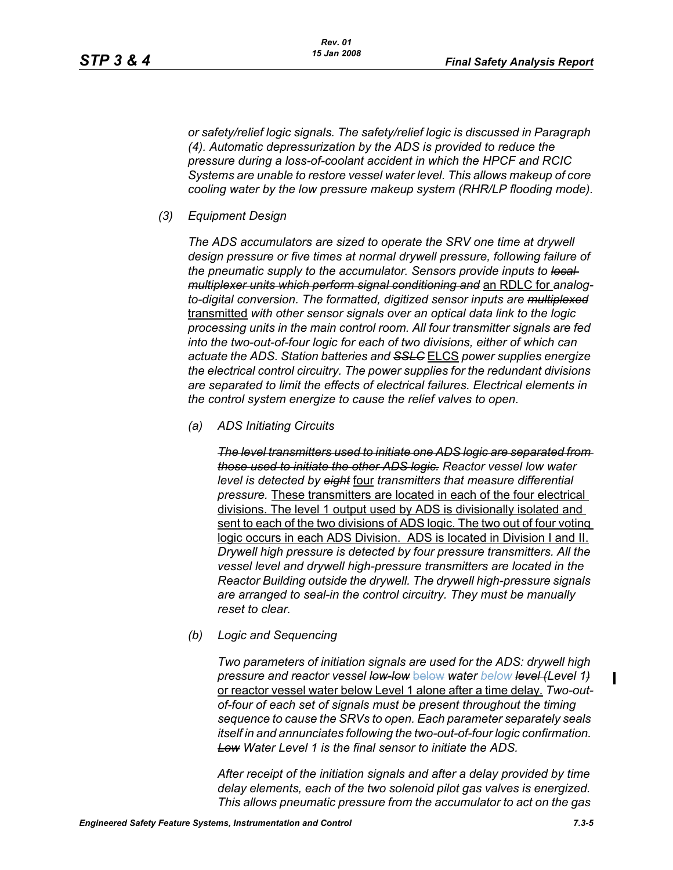*or safety/relief logic signals. The safety/relief logic is discussed in Paragraph (4). Automatic depressurization by the ADS is provided to reduce the pressure during a loss-of-coolant accident in which the HPCF and RCIC Systems are unable to restore vessel water level. This allows makeup of core cooling water by the low pressure makeup system (RHR/LP flooding mode).*

*(3) Equipment Design*

*The ADS accumulators are sized to operate the SRV one time at drywell design pressure or five times at normal drywell pressure, following failure of the pneumatic supply to the accumulator. Sensors provide inputs to local multiplexer units which perform signal conditioning and* an RDLC for *analogto-digital conversion. The formatted, digitized sensor inputs are multiplexed* transmitted *with other sensor signals over an optical data link to the logic processing units in the main control room. All four transmitter signals are fed into the two-out-of-four logic for each of two divisions, either of which can actuate the ADS. Station batteries and SSLC* ELCS *power supplies energize the electrical control circuitry. The power supplies for the redundant divisions are separated to limit the effects of electrical failures. Electrical elements in the control system energize to cause the relief valves to open.*

*(a) ADS Initiating Circuits*

*The level transmitters used to initiate one ADS logic are separated from those used to initiate the other ADS logic. Reactor vessel low water level is detected by eight* four *transmitters that measure differential pressure.* These transmitters are located in each of the four electrical divisions. The level 1 output used by ADS is divisionally isolated and sent to each of the two divisions of ADS logic. The two out of four voting logic occurs in each ADS Division. ADS is located in Division I and II. *Drywell high pressure is detected by four pressure transmitters. All the vessel level and drywell high-pressure transmitters are located in the Reactor Building outside the drywell. The drywell high-pressure signals are arranged to seal-in the control circuitry. They must be manually reset to clear.*

*(b) Logic and Sequencing*

*Two parameters of initiation signals are used for the ADS: drywell high pressure and reactor vessel low-low* below *water below level (Level 1)* or reactor vessel water below Level 1 alone after a time delay*. Two-outof-four of each set of signals must be present throughout the timing sequence to cause the SRVs to open. Each parameter separately seals itself in and annunciates following the two-out-of-four logic confirmation. Low Water Level 1 is the final sensor to initiate the ADS.*

*After receipt of the initiation signals and after a delay provided by time delay elements, each of the two solenoid pilot gas valves is energized. This allows pneumatic pressure from the accumulator to act on the gas*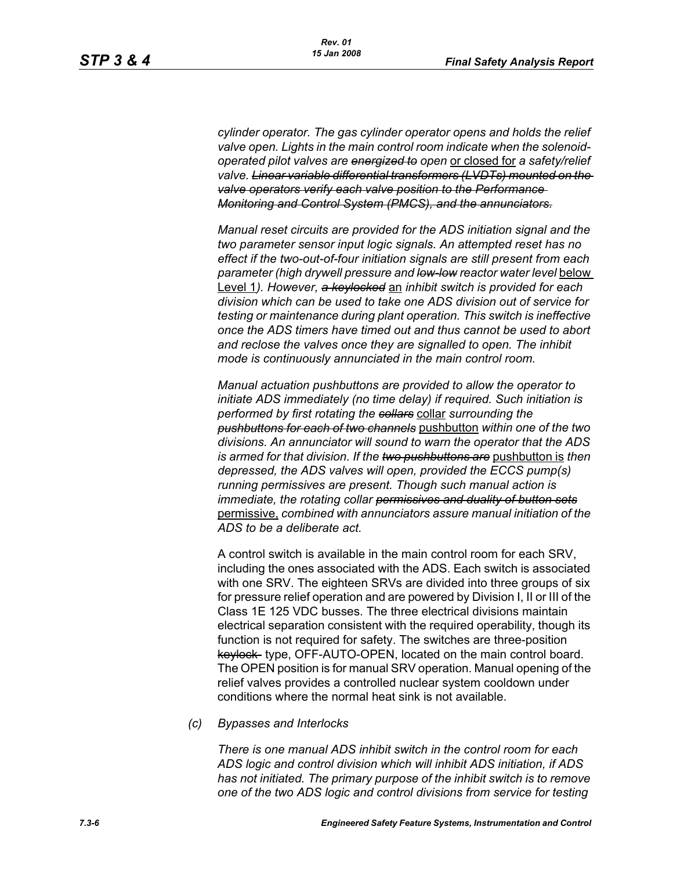*cylinder operator. The gas cylinder operator opens and holds the relief valve open. Lights in the main control room indicate when the solenoidoperated pilot valves are energized to open* or closed for *a safety/relief valve. Linear variable differential transformers (LVDTs) mounted on the valve operators verify each valve position to the Performance Monitoring and Control System (PMCS), and the annunciators.*

*Manual reset circuits are provided for the ADS initiation signal and the two parameter sensor input logic signals. An attempted reset has no effect if the two-out-of-four initiation signals are still present from each parameter (high drywell pressure and low-low reactor water level* below Level 1*). However, a keylocked* an *inhibit switch is provided for each division which can be used to take one ADS division out of service for testing or maintenance during plant operation. This switch is ineffective once the ADS timers have timed out and thus cannot be used to abort and reclose the valves once they are signalled to open. The inhibit mode is continuously annunciated in the main control room.*

*Manual actuation pushbuttons are provided to allow the operator to initiate ADS immediately (no time delay) if required. Such initiation is performed by first rotating the collars* collar *surrounding the pushbuttons for each of two channels* pushbutton *within one of the two divisions. An annunciator will sound to warn the operator that the ADS is armed for that division. If the two pushbuttons are* pushbutton is *then depressed, the ADS valves will open, provided the ECCS pump(s) running permissives are present. Though such manual action is immediate, the rotating collar permissives and duality of button sets* permissive, *combined with annunciators assure manual initiation of the ADS to be a deliberate act.*

A control switch is available in the main control room for each SRV, including the ones associated with the ADS. Each switch is associated with one SRV. The eighteen SRVs are divided into three groups of six for pressure relief operation and are powered by Division I, II or III of the Class 1E 125 VDC busses. The three electrical divisions maintain electrical separation consistent with the required operability, though its function is not required for safety. The switches are three-position keylock- type, OFF-AUTO-OPEN, located on the main control board. The OPEN position is for manual SRV operation. Manual opening of the relief valves provides a controlled nuclear system cooldown under conditions where the normal heat sink is not available.

*(c) Bypasses and Interlocks*

*There is one manual ADS inhibit switch in the control room for each ADS logic and control division which will inhibit ADS initiation, if ADS has not initiated. The primary purpose of the inhibit switch is to remove one of the two ADS logic and control divisions from service for testing*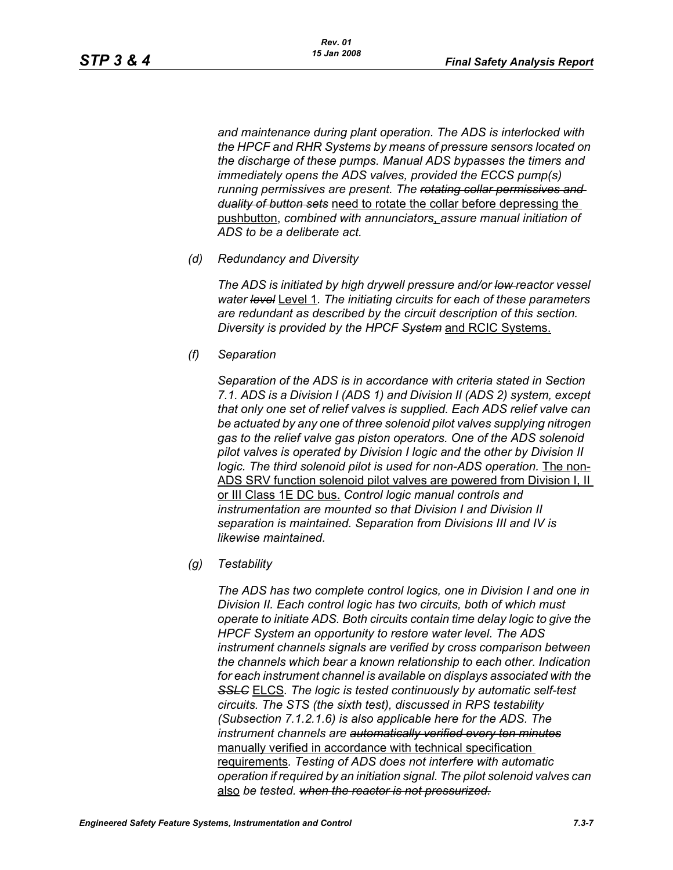*and maintenance during plant operation. The ADS is interlocked with the HPCF and RHR Systems by means of pressure sensors located on the discharge of these pumps. Manual ADS bypasses the timers and immediately opens the ADS valves, provided the ECCS pump(s) running permissives are present. The rotating collar permissives and duality of button sets* need to rotate the collar before depressing the pushbutton, *combined with annunciators*, *assure manual initiation of ADS to be a deliberate act.*

*(d) Redundancy and Diversity*

*The ADS is initiated by high drywell pressure and/or low reactor vessel water level* Level 1*. The initiating circuits for each of these parameters are redundant as described by the circuit description of this section. Diversity is provided by the HPCF System* and RCIC Systems.

*(f) Separation*

*Separation of the ADS is in accordance with criteria stated in Section 7.1. ADS is a Division I (ADS 1) and Division II (ADS 2) system, except that only one set of relief valves is supplied. Each ADS relief valve can be actuated by any one of three solenoid pilot valves supplying nitrogen gas to the relief valve gas piston operators. One of the ADS solenoid pilot valves is operated by Division I logic and the other by Division II logic. The third solenoid pilot is used for non-ADS operation.* The non-ADS SRV function solenoid pilot valves are powered from Division I, II or III Class 1E DC bus. *Control logic manual controls and instrumentation are mounted so that Division I and Division II separation is maintained. Separation from Divisions III and IV is likewise maintained.*

*(g) Testability*

*The ADS has two complete control logics, one in Division I and one in Division II. Each control logic has two circuits, both of which must operate to initiate ADS. Both circuits contain time delay logic to give the HPCF System an opportunity to restore water level. The ADS instrument channels signals are verified by cross comparison between the channels which bear a known relationship to each other. Indication for each instrument channel is available on displays associated with the SSLC* ELCS*. The logic is tested continuously by automatic self-test circuits. The STS (the sixth test), discussed in RPS testability (Subsection 7.1.2.1.6) is also applicable here for the ADS. The instrument channels are automatically verified every ten minutes* manually verified in accordance with technical specification requirements*. Testing of ADS does not interfere with automatic operation if required by an initiation signal. The pilot solenoid valves can*  also *be tested. when the reactor is not pressurized.*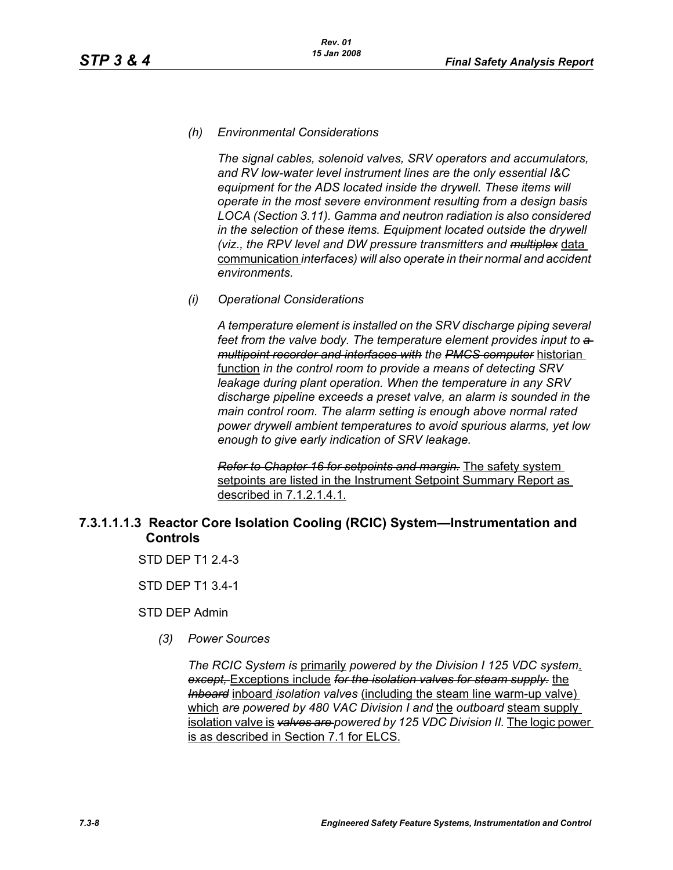### *(h) Environmental Considerations*

*The signal cables, solenoid valves, SRV operators and accumulators, and RV low-water level instrument lines are the only essential I&C equipment for the ADS located inside the drywell. These items will operate in the most severe environment resulting from a design basis LOCA (Section 3.11). Gamma and neutron radiation is also considered in the selection of these items. Equipment located outside the drywell (viz., the RPV level and DW pressure transmitters and multiplex* data communication *interfaces) will also operate in their normal and accident environments.*

### *(i) Operational Considerations*

*A temperature element is installed on the SRV discharge piping several*  feet from the valve body. The temperature element provides input to  $a$ *multipoint recorder and interfaces with the PMCS computer* historian function *in the control room to provide a means of detecting SRV leakage during plant operation. When the temperature in any SRV discharge pipeline exceeds a preset valve, an alarm is sounded in the main control room. The alarm setting is enough above normal rated power drywell ambient temperatures to avoid spurious alarms, yet low enough to give early indication of SRV leakage.*

*Refer to Chapter 16 for setpoints and margin.* The safety system setpoints are listed in the Instrument Setpoint Summary Report as described in 7.1.2.1.4.1.

# **7.3.1.1.1.3 Reactor Core Isolation Cooling (RCIC) System—Instrumentation and Controls**

STD DFP T1 2 4-3

STD DEP T1 3.4-1

STD DEP Admin

*(3) Power Sources*

*The RCIC System is* primarily *powered by the Division I 125 VDC system*. *except,* Exceptions include *for the isolation valves for steam supply.* the *Inboard* inboard *isolation valves* (including the steam line warm-up valve) which *are powered by 480 VAC Division I and* the *outboard* steam supply isolation valve is *valves are powered by 125 VDC Division II.* The logic power is as described in Section 7.1 for ELCS.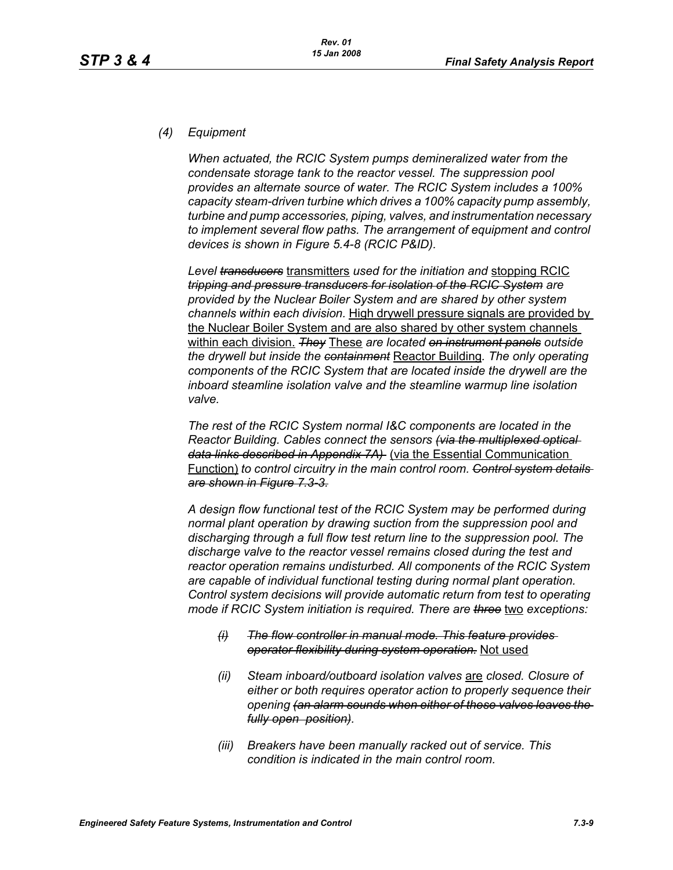# *(4) Equipment*

*When actuated, the RCIC System pumps demineralized water from the condensate storage tank to the reactor vessel. The suppression pool provides an alternate source of water. The RCIC System includes a 100% capacity steam-driven turbine which drives a 100% capacity pump assembly, turbine and pump accessories, piping, valves, and instrumentation necessary to implement several flow paths. The arrangement of equipment and control devices is shown in Figure 5.4-8 (RCIC P&ID).*

*Level transducers* transmitters *used for the initiation and* stopping RCIC *tripping and pressure transducers for isolation of the RCIC System are provided by the Nuclear Boiler System and are shared by other system channels within each division.* High drywell pressure signals are provided by the Nuclear Boiler System and are also shared by other system channels within each division. *They* These *are located on instrument panels outside the drywell but inside the containment* Reactor Building*. The only operating components of the RCIC System that are located inside the drywell are the inboard steamline isolation valve and the steamline warmup line isolation valve.*

*The rest of the RCIC System normal I&C components are located in the Reactor Building. Cables connect the sensors (via the multiplexed optical data links described in Appendix 7A)* (via the Essential Communication Function) *to control circuitry in the main control room. Control system details are shown in Figure 7.3-3.*

*A design flow functional test of the RCIC System may be performed during normal plant operation by drawing suction from the suppression pool and discharging through a full flow test return line to the suppression pool. The discharge valve to the reactor vessel remains closed during the test and reactor operation remains undisturbed. All components of the RCIC System are capable of individual functional testing during normal plant operation. Control system decisions will provide automatic return from test to operating mode if RCIC System initiation is required. There are three two exceptions:* 

- *(i) The flow controller in manual mode. This feature provides operator flexibility during system operation.* Not used
- *(ii) Steam inboard/outboard isolation valves* are *closed. Closure of either or both requires operator action to properly sequence their opening (an alarm sounds when either of these valves leaves the fully open position).*
- *(iii) Breakers have been manually racked out of service. This condition is indicated in the main control room.*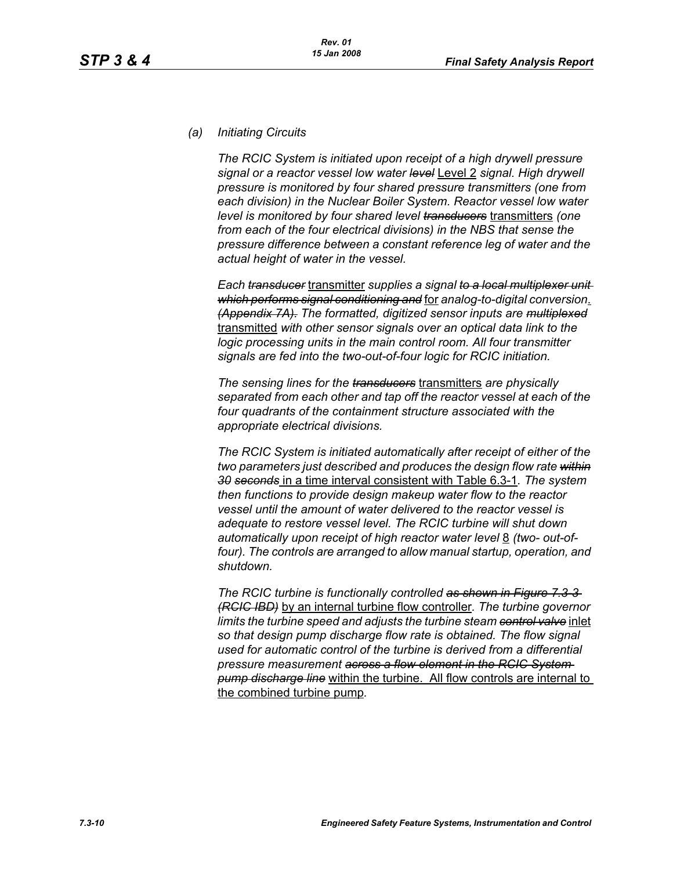### *(a) Initiating Circuits*

*The RCIC System is initiated upon receipt of a high drywell pressure signal or a reactor vessel low water level* Level 2 *signal. High drywell pressure is monitored by four shared pressure transmitters (one from each division) in the Nuclear Boiler System. Reactor vessel low water level is monitored by four shared level transducers* transmitters *(one from each of the four electrical divisions) in the NBS that sense the pressure difference between a constant reference leg of water and the actual height of water in the vessel.*

*Each transducer* transmitter *supplies a signal to a local multiplexer unit which performs signal conditioning and* for *analog-to-digital conversion*. *(Appendix 7A). The formatted, digitized sensor inputs are multiplexed* transmitted *with other sensor signals over an optical data link to the logic processing units in the main control room. All four transmitter signals are fed into the two-out-of-four logic for RCIC initiation.*

*The sensing lines for the transducers* transmitters *are physically separated from each other and tap off the reactor vessel at each of the four quadrants of the containment structure associated with the appropriate electrical divisions.*

*The RCIC System is initiated automatically after receipt of either of the two parameters just described and produces the design flow rate within 30 seconds* in a time interval consistent with Table 6.3-1*. The system then functions to provide design makeup water flow to the reactor vessel until the amount of water delivered to the reactor vessel is adequate to restore vessel level. The RCIC turbine will shut down*  automatically upon receipt of high reactor water level 8 *(two- out-of*four). The controls are arranged to allow manual startup, operation, and *shutdown.*

*The RCIC turbine is functionally controlled as shown in Figure 7.3-3 (RCIC IBD)* by an internal turbine flow controller*. The turbine governor limits the turbine speed and adjusts the turbine steam control valve* inlet *so that design pump discharge flow rate is obtained. The flow signal used for automatic control of the turbine is derived from a differential pressure measurement across a flow element in the RCIC System pump discharge line* within the turbine. All flow controls are internal to the combined turbine pump*.*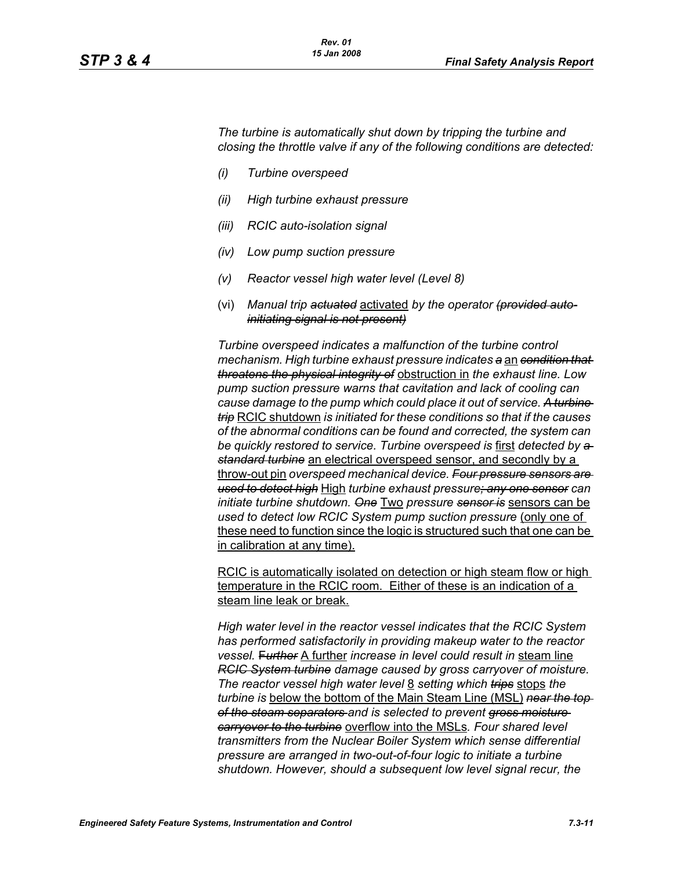*The turbine is automatically shut down by tripping the turbine and closing the throttle valve if any of the following conditions are detected:*

- *(i) Turbine overspeed*
- *(ii) High turbine exhaust pressure*
- *(iii) RCIC auto-isolation signal*
- *(iv) Low pump suction pressure*
- *(v) Reactor vessel high water level (Level 8)*
- (vi) *Manual trip actuated* activated *by the operator (provided autoinitiating signal is not present)*

*Turbine overspeed indicates a malfunction of the turbine control mechanism. High turbine exhaust pressure indicates a* an *condition that threatens the physical integrity of* obstruction in *the exhaust line. Low pump suction pressure warns that cavitation and lack of cooling can cause damage to the pump which could place it out of service. A turbine trip* RCIC shutdown *is initiated for these conditions so that if the causes of the abnormal conditions can be found and corrected, the system can be quickly restored to service. Turbine overspeed is* first *detected by a standard turbine* an electrical overspeed sensor, and secondly by a throw-out pin *overspeed mechanical device. Four pressure sensors are used to detect high* High *turbine exhaust pressure; any one sensor can initiate turbine shutdown. One* Two *pressure sensor is* sensors can be *used to detect low RCIC System pump suction pressure (only one of* these need to function since the logic is structured such that one can be in calibration at any time).

RCIC is automatically isolated on detection or high steam flow or high temperature in the RCIC room. Either of these is an indication of a steam line leak or break.

*High water level in the reactor vessel indicates that the RCIC System has performed satisfactorily in providing makeup water to the reactor vessel.* F*urther* A further *increase in level could result in* steam line *RCIC System turbine damage caused by gross carryover of moisture. The reactor vessel high water level* 8 *setting which trips* stops *the turbine is* below the bottom of the Main Steam Line (MSL) *near the top of the steam separators and is selected to prevent gross moisture carryover to the turbine* overflow into the MSLs*. Four shared level transmitters from the Nuclear Boiler System which sense differential pressure are arranged in two-out-of-four logic to initiate a turbine shutdown. However, should a subsequent low level signal recur, the*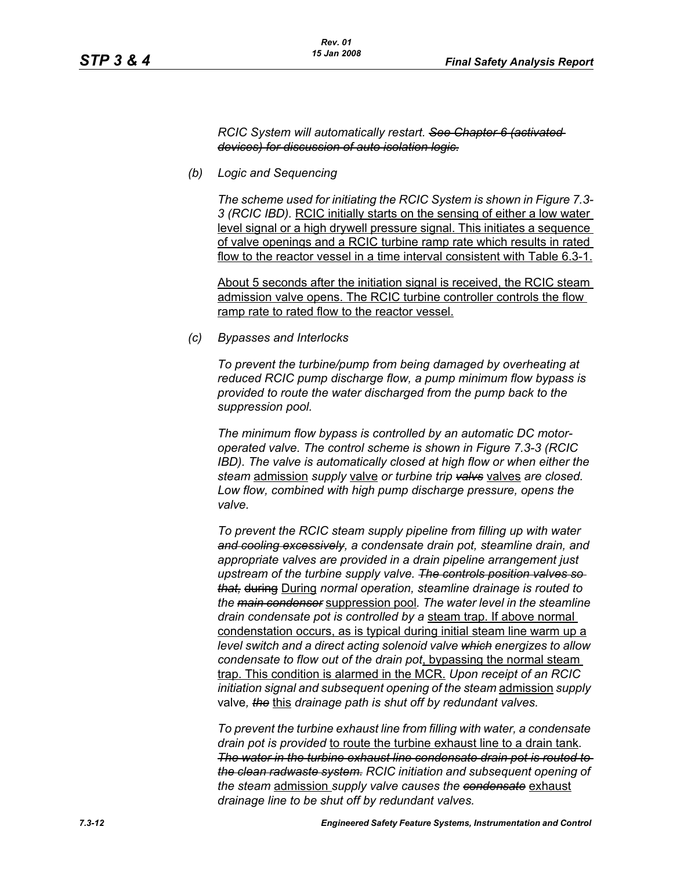#### *RCIC System will automatically restart. See Chapter 6 (activated devices) for discussion of auto isolation logic.*

*(b) Logic and Sequencing*

*The scheme used for initiating the RCIC System is shown in Figure 7.3- 3 (RCIC IBD).* RCIC initially starts on the sensing of either a low water level signal or a high drywell pressure signal. This initiates a sequence of valve openings and a RCIC turbine ramp rate which results in rated flow to the reactor vessel in a time interval consistent with Table 6.3-1.

About 5 seconds after the initiation signal is received, the RCIC steam admission valve opens. The RCIC turbine controller controls the flow ramp rate to rated flow to the reactor vessel.

*(c) Bypasses and Interlocks*

*To prevent the turbine/pump from being damaged by overheating at reduced RCIC pump discharge flow, a pump minimum flow bypass is provided to route the water discharged from the pump back to the suppression pool.*

*The minimum flow bypass is controlled by an automatic DC motoroperated valve. The control scheme is shown in Figure 7.3-3 (RCIC IBD). The valve is automatically closed at high flow or when either the steam* admission *supply* valve *or turbine trip valvs* valves *are closed. Low flow, combined with high pump discharge pressure, opens the valve.*

*To prevent the RCIC steam supply pipeline from filling up with water and cooling excessively, a condensate drain pot, steamline drain, and appropriate valves are provided in a drain pipeline arrangement just upstream of the turbine supply valve. The controls position valves so that,* during During *normal operation, steamline drainage is routed to the main condenser* suppression pool*. The water level in the steamline drain condensate pot is controlled by a* steam trap. If above normal condenstation occurs, as is typical during initial steam line warm up a *level switch and a direct acting solenoid valve which energizes to allow condensate to flow out of the drain pot*, bypassing the normal steam trap. This condition is alarmed in the MCR. *Upon receipt of an RCIC initiation signal and subsequent opening of the steam* admission *supply*  valve*, the* this *drainage path is shut off by redundant valves.*

*To prevent the turbine exhaust line from filling with water, a condensate drain pot is provided* to route the turbine exhaust line to a drain tank*. The water in the turbine exhaust line condensate drain pot is routed to the clean radwaste system. RCIC initiation and subsequent opening of the steam* admission *supply valve causes the condensate* exhaust *drainage line to be shut off by redundant valves.*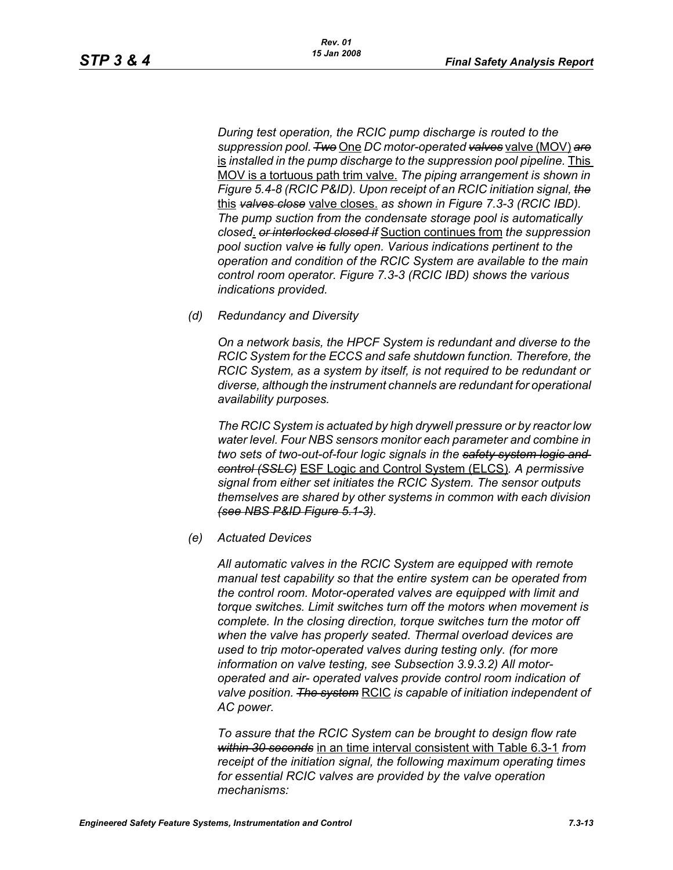*During test operation, the RCIC pump discharge is routed to the suppression pool. Two* One *DC motor-operated valves* valve (MOV) *are* is installed in the pump discharge to the suppression pool pipeline. This MOV is a tortuous path trim valve. *The piping arrangement is shown in Figure 5.4-8 (RCIC P&ID). Upon receipt of an RCIC initiation signal, the* this *valves close* valve closes. *as shown in Figure 7.3-3 (RCIC IBD). The pump suction from the condensate storage pool is automatically closed*. *or interlocked closed if* Suction continues from *the suppression pool suction valve is fully open. Various indications pertinent to the operation and condition of the RCIC System are available to the main control room operator. Figure 7.3-3 (RCIC IBD) shows the various indications provided.*

*(d) Redundancy and Diversity*

*On a network basis, the HPCF System is redundant and diverse to the RCIC System for the ECCS and safe shutdown function. Therefore, the RCIC System, as a system by itself, is not required to be redundant or diverse, although the instrument channels are redundant for operational availability purposes.*

*The RCIC System is actuated by high drywell pressure or by reactor low water level. Four NBS sensors monitor each parameter and combine in two sets of two-out-of-four logic signals in the safety system logic and control (SSLC)* ESF Logic and Control System (ELCS)*. A permissive signal from either set initiates the RCIC System. The sensor outputs themselves are shared by other systems in common with each division (see NBS P&ID Figure 5.1-3).*

*(e) Actuated Devices*

*All automatic valves in the RCIC System are equipped with remote manual test capability so that the entire system can be operated from the control room. Motor-operated valves are equipped with limit and torque switches. Limit switches turn off the motors when movement is complete. In the closing direction, torque switches turn the motor off when the valve has properly seated. Thermal overload devices are used to trip motor-operated valves during testing only. (for more information on valve testing, see Subsection 3.9.3.2) All motoroperated and air- operated valves provide control room indication of valve position. The system* RCIC *is capable of initiation independent of AC power.*

*To assure that the RCIC System can be brought to design flow rate within 30 seconds* in an time interval consistent with Table 6.3-1 *from receipt of the initiation signal, the following maximum operating times for essential RCIC valves are provided by the valve operation mechanisms:*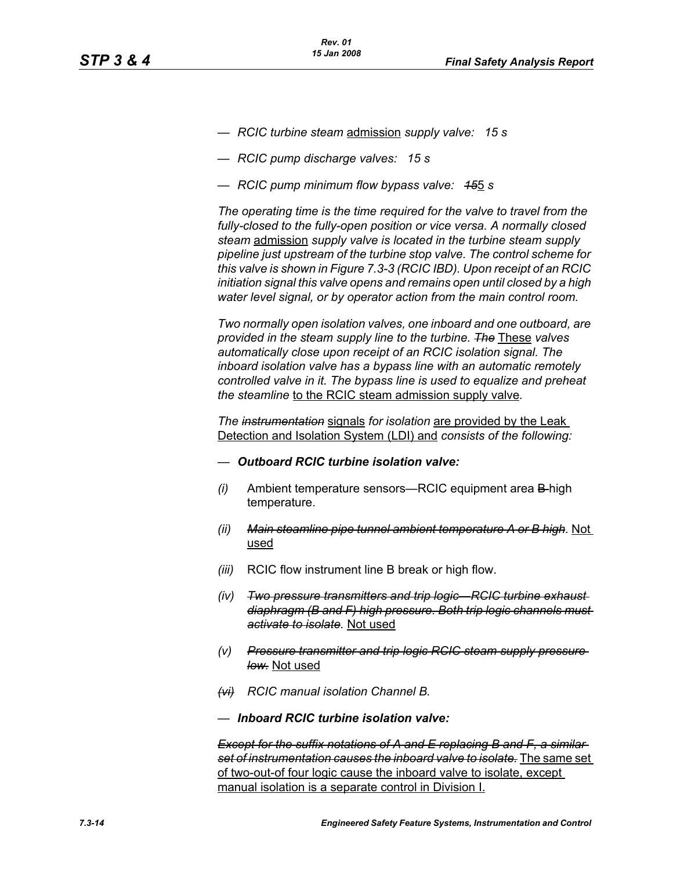- *RCIC turbine steam* admission *supply valve: 15 s*
- *RCIC pump discharge valves: 15 s*
- *RCIC pump minimum flow bypass valve: 15*5 *s*

*The operating time is the time required for the valve to travel from the fully-closed to the fully-open position or vice versa. A normally closed steam* admission *supply valve is located in the turbine steam supply pipeline just upstream of the turbine stop valve. The control scheme for this valve is shown in Figure 7.3-3 (RCIC IBD). Upon receipt of an RCIC initiation signal this valve opens and remains open until closed by a high water level signal, or by operator action from the main control room.*

*Two normally open isolation valves, one inboard and one outboard, are provided in the steam supply line to the turbine. The* These *valves automatically close upon receipt of an RCIC isolation signal. The inboard isolation valve has a bypass line with an automatic remotely controlled valve in it. The bypass line is used to equalize and preheat the steamline* to the RCIC steam admission supply valve*.*

*The instrumentation* signals *for isolation* are provided by the Leak Detection and Isolation System (LDI) and *consists of the following:*

- *— Outboard RCIC turbine isolation valve:*
- *(i)* Ambient temperature sensors—RCIC equipment area B-high temperature.
- *(ii) Main steamline pipe tunnel ambient temperature A or B high.* Not used
- *(iii)* RCIC flow instrument line B break or high flow.
- *(iv) Two pressure transmitters and trip logic—RCIC turbine exhaust diaphragm (B and F) high pressure. Both trip logic channels must activate to isolate.* Not used
- *(v) Pressure transmitter and trip logic RCIC steam supply pressure low.* Not used
- *(vi) RCIC manual isolation Channel B.*
- *— Inboard RCIC turbine isolation valve:*

*Except for the suffix notations of A and E replacing B and F, a similar set of instrumentation causes the inboard valve to isolate.* The same set of two-out-of four logic cause the inboard valve to isolate, except manual isolation is a separate control in Division I.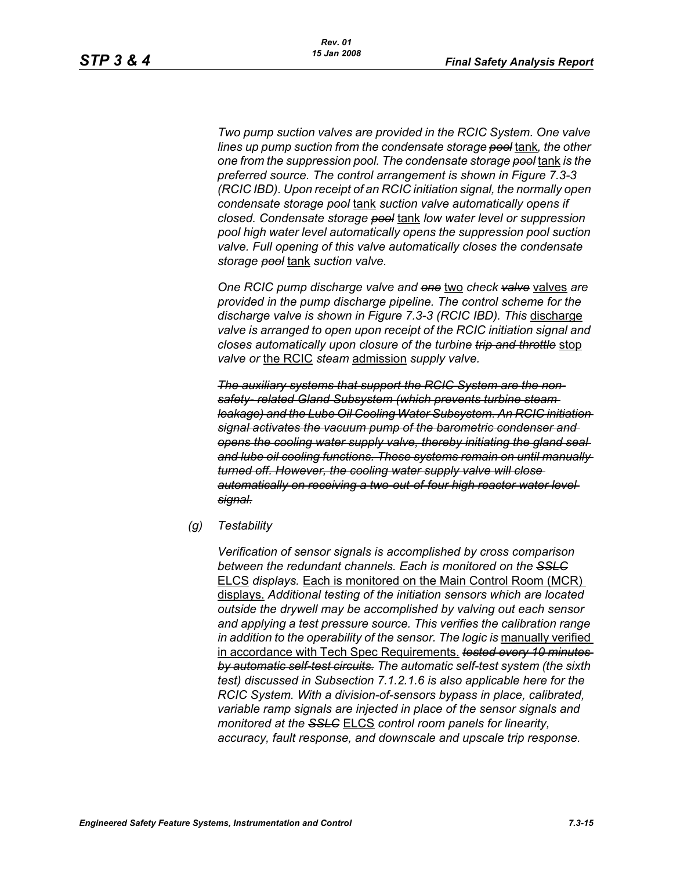*Two pump suction valves are provided in the RCIC System. One valve lines up pump suction from the condensate storage pool* tank*, the other one from the suppression pool. The condensate storage pool* tank *is the preferred source. The control arrangement is shown in Figure 7.3-3 (RCIC IBD). Upon receipt of an RCIC initiation signal, the normally open condensate storage pool* tank *suction valve automatically opens if closed. Condensate storage pool* tank *low water level or suppression pool high water level automatically opens the suppression pool suction valve. Full opening of this valve automatically closes the condensate storage pool* tank *suction valve.*

*One RCIC pump discharge valve and one* two *check valve* valves *are provided in the pump discharge pipeline. The control scheme for the discharge valve is shown in Figure 7.3-3 (RCIC IBD). This* discharge *valve is arranged to open upon receipt of the RCIC initiation signal and closes automatically upon closure of the turbine trip and throttle* stop *valve or* the RCIC *steam* admission *supply valve.*

*The auxiliary systems that support the RCIC System are the nonsafety- related Gland Subsystem (which prevents turbine steam leakage) and the Lube Oil Cooling Water Subsystem. An RCIC initiation signal activates the vacuum pump of the barometric condenser and opens the cooling water supply valve, thereby initiating the gland seal and lube oil cooling functions. These systems remain on until manually turned off. However, the cooling water supply valve will close automatically on receiving a two-out-of-four high reactor water level signal.*

*(g) Testability*

*Verification of sensor signals is accomplished by cross comparison between the redundant channels. Each is monitored on the SSLC* ELCS *displays.* Each is monitored on the Main Control Room (MCR) displays. *Additional testing of the initiation sensors which are located outside the drywell may be accomplished by valving out each sensor and applying a test pressure source. This verifies the calibration range in addition to the operability of the sensor. The logic is manually verified* in accordance with Tech Spec Requirements. *tested every 10 minutes by automatic self-test circuits. The automatic self-test system (the sixth test) discussed in Subsection 7.1.2.1.6 is also applicable here for the RCIC System. With a division-of-sensors bypass in place, calibrated, variable ramp signals are injected in place of the sensor signals and monitored at the SSLC* ELCS *control room panels for linearity, accuracy, fault response, and downscale and upscale trip response.*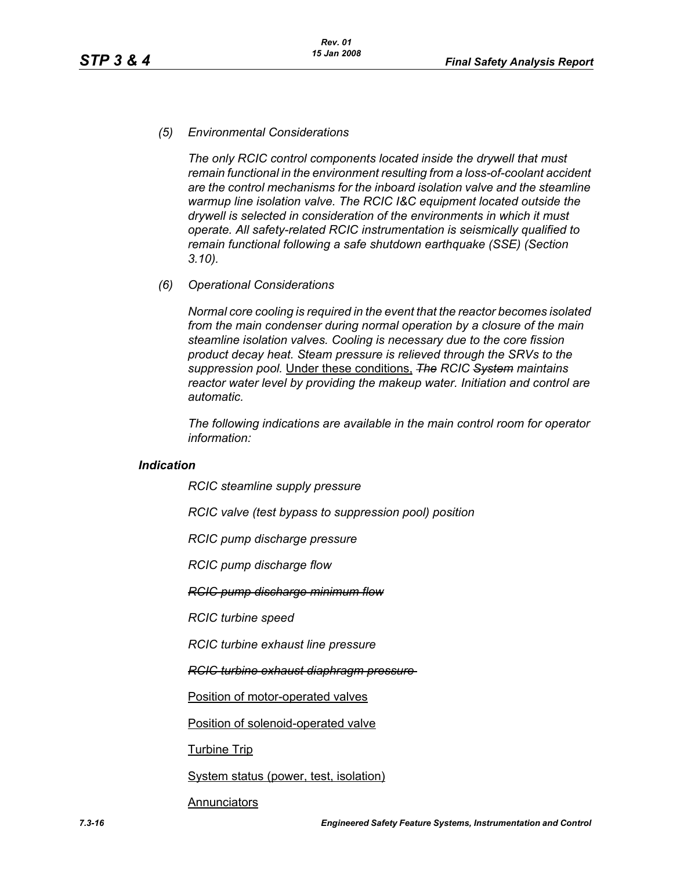### *(5) Environmental Considerations*

*The only RCIC control components located inside the drywell that must remain functional in the environment resulting from a loss-of-coolant accident are the control mechanisms for the inboard isolation valve and the steamline warmup line isolation valve. The RCIC I&C equipment located outside the drywell is selected in consideration of the environments in which it must operate. All safety-related RCIC instrumentation is seismically qualified to remain functional following a safe shutdown earthquake (SSE) (Section 3.10).*

*(6) Operational Considerations*

*Normal core cooling is required in the event that the reactor becomes isolated from the main condenser during normal operation by a closure of the main steamline isolation valves. Cooling is necessary due to the core fission product decay heat. Steam pressure is relieved through the SRVs to the suppression pool.* Under these conditions, *The RCIC System maintains reactor water level by providing the makeup water. Initiation and control are automatic.*

*The following indications are available in the main control room for operator information:*

#### *Indication*

*RCIC steamline supply pressure*

*RCIC valve (test bypass to suppression pool) position*

*RCIC pump discharge pressure*

*RCIC pump discharge flow*

#### *RCIC pump discharge minimum flow*

*RCIC turbine speed*

*RCIC turbine exhaust line pressure*

*RCIC turbine exhaust diaphragm pressure* 

Position of motor-operated valves

Position of solenoid-operated valve

Turbine Trip

System status (power, test, isolation)

#### Annunciators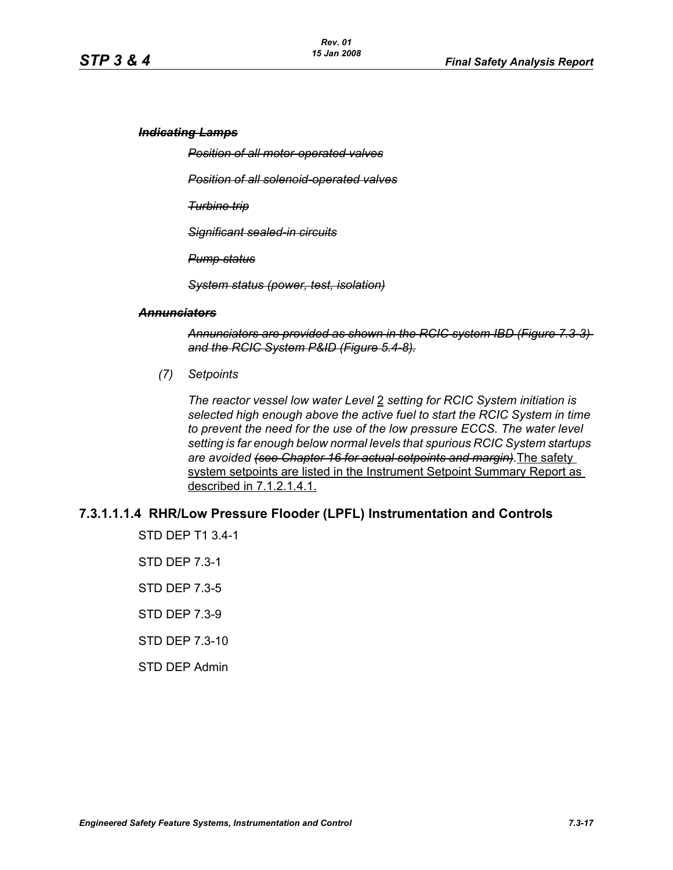#### *Indicating Lamps*

*Position of all motor-operated valves*

*Position of all solenoid-operated valves*

*Turbine trip*

*Significant sealed-in circuits*

*Pump status*

*System status (power, test, isolation)*

#### *Annunciators*

*Annunciators are provided as shown in the RCIC system IBD (Figure 7.3-3) and the RCIC System P&ID (Figure 5.4-8).*

*(7) Setpoints*

*The reactor vessel low water Level* 2 *setting for RCIC System initiation is selected high enough above the active fuel to start the RCIC System in time to prevent the need for the use of the low pressure ECCS. The water level setting is far enough below normal levels that spurious RCIC System startups are avoided (see Chapter 16 for actual setpoints and margin).*The safety system setpoints are listed in the Instrument Setpoint Summary Report as described in 7.1.2.1.4.1.

# **7.3.1.1.1.4 RHR/Low Pressure Flooder (LPFL) Instrumentation and Controls**

STD DEP T1 3.4-1 STD DEP 7.3-1 STD DEP 7.3-5 STD DEP 7.3-9 STD DEP 7.3-10 STD DEP Admin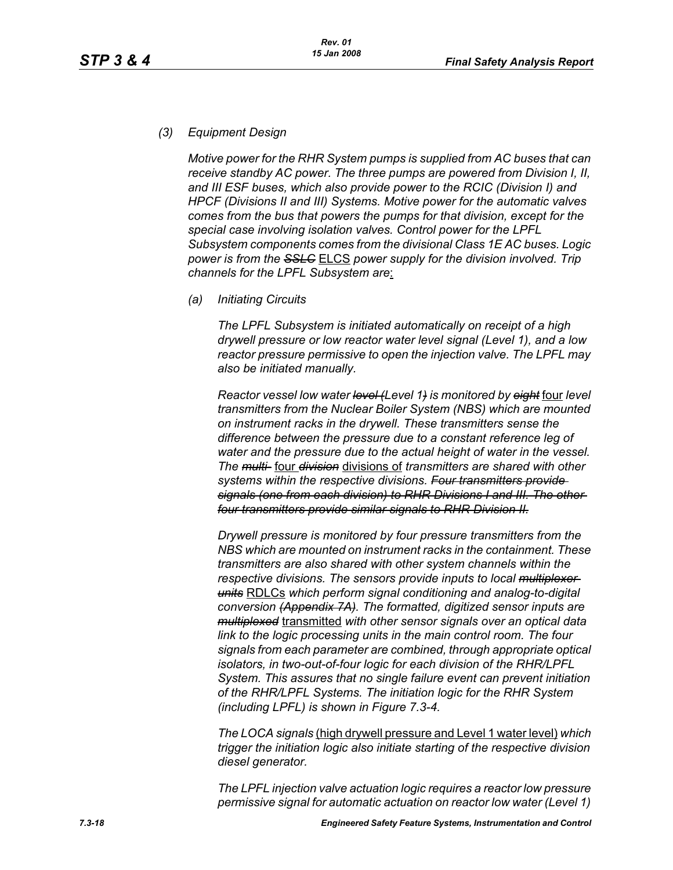# *(3) Equipment Design*

*Motive power for the RHR System pumps is supplied from AC buses that can receive standby AC power. The three pumps are powered from Division I, II, and III ESF buses, which also provide power to the RCIC (Division I) and HPCF (Divisions II and III) Systems. Motive power for the automatic valves comes from the bus that powers the pumps for that division, except for the special case involving isolation valves. Control power for the LPFL Subsystem components comes from the divisional Class 1E AC buses. Logic power is from the SSLC* ELCS *power supply for the division involved. Trip channels for the LPFL Subsystem are*:

*(a) Initiating Circuits*

*The LPFL Subsystem is initiated automatically on receipt of a high drywell pressure or low reactor water level signal (Level 1), and a low reactor pressure permissive to open the injection valve. The LPFL may also be initiated manually.*

*Reactor vessel low water level (Level 1) is monitored by eight* four *level transmitters from the Nuclear Boiler System (NBS) which are mounted on instrument racks in the drywell. These transmitters sense the difference between the pressure due to a constant reference leg of water and the pressure due to the actual height of water in the vessel. The multi-* four *division* divisions of *transmitters are shared with other systems within the respective divisions. Four transmitters provide signals (one from each division) to RHR Divisions I and III. The other four transmitters provide similar signals to RHR Division II.*

*Drywell pressure is monitored by four pressure transmitters from the NBS which are mounted on instrument racks in the containment. These transmitters are also shared with other system channels within the respective divisions. The sensors provide inputs to local multiplexer units* RDLCs *which perform signal conditioning and analog-to-digital conversion (Appendix 7A). The formatted, digitized sensor inputs are multiplexed* transmitted *with other sensor signals over an optical data link to the logic processing units in the main control room. The four signals from each parameter are combined, through appropriate optical isolators, in two-out-of-four logic for each division of the RHR/LPFL System. This assures that no single failure event can prevent initiation of the RHR/LPFL Systems. The initiation logic for the RHR System (including LPFL) is shown in Figure 7.3-4.*

*The LOCA signals* (high drywell pressure and Level 1 water level) *which trigger the initiation logic also initiate starting of the respective division diesel generator.*

*The LPFL injection valve actuation logic requires a reactor low pressure permissive signal for automatic actuation on reactor low water (Level 1)*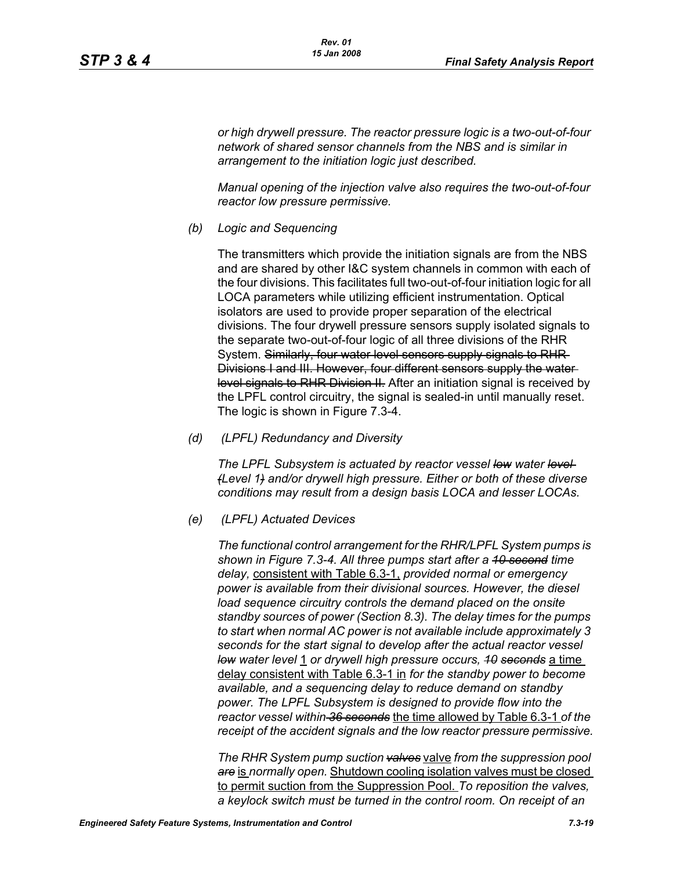*or high drywell pressure. The reactor pressure logic is a two-out-of-four network of shared sensor channels from the NBS and is similar in arrangement to the initiation logic just described.*

*Manual opening of the injection valve also requires the two-out-of-four reactor low pressure permissive.*

*(b) Logic and Sequencing*

The transmitters which provide the initiation signals are from the NBS and are shared by other I&C system channels in common with each of the four divisions. This facilitates full two-out-of-four initiation logic for all LOCA parameters while utilizing efficient instrumentation. Optical isolators are used to provide proper separation of the electrical divisions. The four drywell pressure sensors supply isolated signals to the separate two-out-of-four logic of all three divisions of the RHR System. Similarly, four water level sensors supply signals to RHR Divisions I and III. However, four different sensors supply the water level signals to RHR Division II. After an initiation signal is received by the LPFL control circuitry, the signal is sealed-in until manually reset. The logic is shown in Figure 7.3-4.

*(d) (LPFL) Redundancy and Diversity*

*The LPFL Subsystem is actuated by reactor vessel low water level (Level 1) and/or drywell high pressure. Either or both of these diverse conditions may result from a design basis LOCA and lesser LOCAs.*

*(e) (LPFL) Actuated Devices*

*The functional control arrangement for the RHR/LPFL System pumps is shown in Figure 7.3-4. All three pumps start after a 10 second time delay,* consistent with Table 6.3-1, *provided normal or emergency power is available from their divisional sources. However, the diesel*  load sequence circuitry controls the demand placed on the onsite *standby sources of power (Section 8.3). The delay times for the pumps to start when normal AC power is not available include approximately 3 seconds for the start signal to develop after the actual reactor vessel low water level* 1 *or drywell high pressure occurs, 10 seconds* a time delay consistent with Table 6.3-1 in *for the standby power to become available, and a sequencing delay to reduce demand on standby power. The LPFL Subsystem is designed to provide flow into the reactor vessel within 36 seconds* the time allowed by Table 6.3-1 *of the receipt of the accident signals and the low reactor pressure permissive.*

*The RHR System pump suction valves* valve *from the suppression pool are* is *normally open.* Shutdown cooling isolation valves must be closed to permit suction from the Suppression Pool. *To reposition the valves, a keylock switch must be turned in the control room. On receipt of an*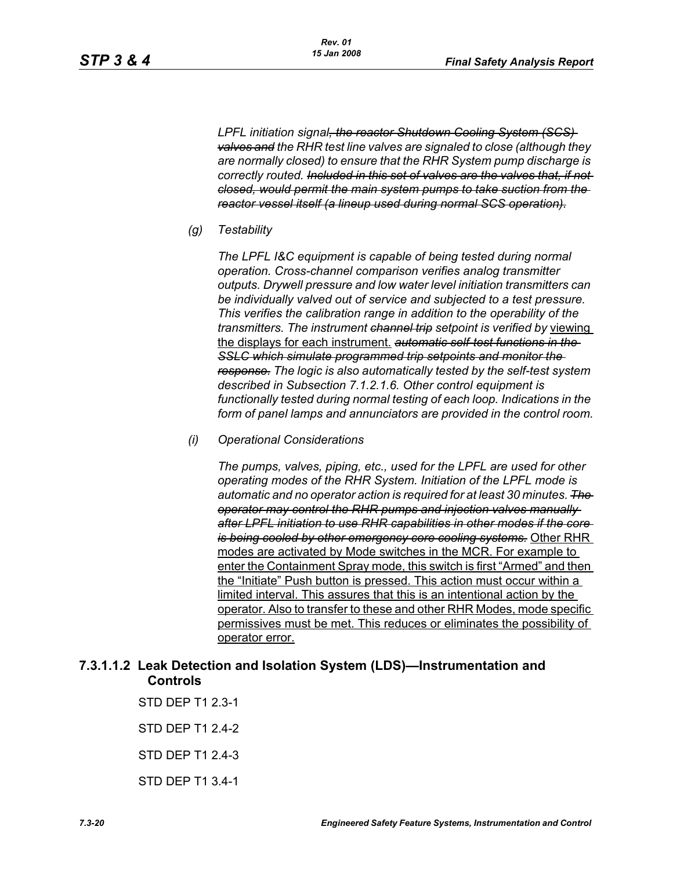*LPFL initiation signal, the reactor Shutdown Cooling System (SCS) valves and the RHR test line valves are signaled to close (although they are normally closed) to ensure that the RHR System pump discharge is correctly routed. Included in this set of valves are the valves that, if not closed, would permit the main system pumps to take suction from the reactor vessel itself (a lineup used during normal SCS operation).*

*(g) Testability*

*The LPFL I&C equipment is capable of being tested during normal operation. Cross-channel comparison verifies analog transmitter outputs. Drywell pressure and low water level initiation transmitters can be individually valved out of service and subjected to a test pressure. This verifies the calibration range in addition to the operability of the transmitters. The instrument channel trip setpoint is verified by* viewing the displays for each instrument. *automatic self-test functions in the SSLC which simulate programmed trip setpoints and monitor the response. The logic is also automatically tested by the self-test system described in Subsection 7.1.2.1.6. Other control equipment is functionally tested during normal testing of each loop. Indications in the form of panel lamps and annunciators are provided in the control room.*

*(i) Operational Considerations*

*The pumps, valves, piping, etc., used for the LPFL are used for other operating modes of the RHR System. Initiation of the LPFL mode is automatic and no operator action is required for at least 30 minutes. The operator may control the RHR pumps and injection valves manually after LPFL initiation to use RHR capabilities in other modes if the core is being cooled by other emergency core cooling systems.* Other RHR modes are activated by Mode switches in the MCR. For example to enter the Containment Spray mode, this switch is first "Armed" and then the "Initiate" Push button is pressed. This action must occur within a limited interval. This assures that this is an intentional action by the operator. Also to transfer to these and other RHR Modes, mode specific permissives must be met. This reduces or eliminates the possibility of operator error.

# **7.3.1.1.2 Leak Detection and Isolation System (LDS)—Instrumentation and Controls**

STD DEP T1 2.3-1 STD DEP T1 2.4-2 STD DEP T1 2.4-3 STD DEP T1 3.4-1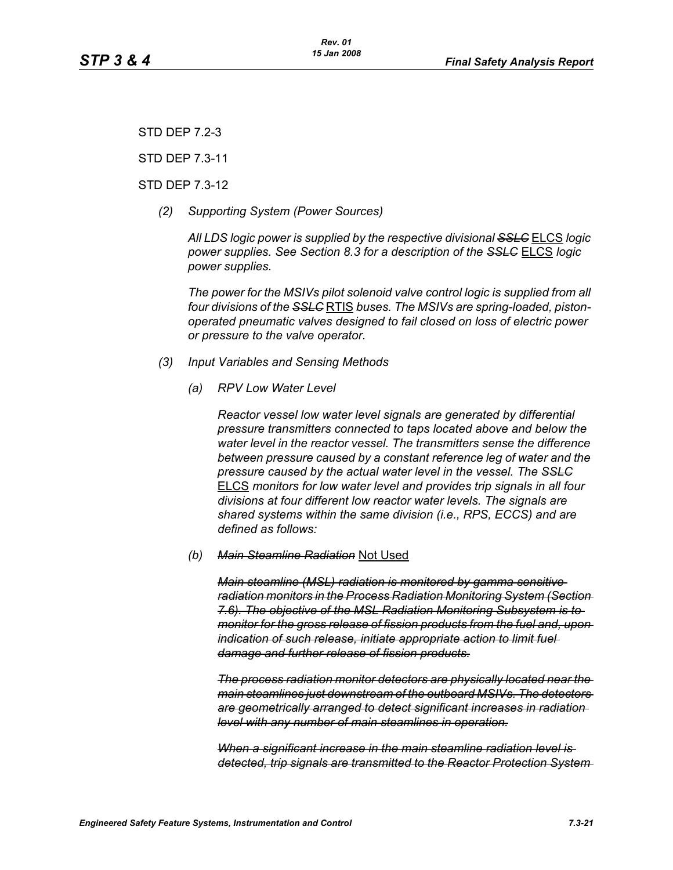STD DEP 7.2-3

STD DEP 7.3-11

#### STD DEP 7.3-12

*(2) Supporting System (Power Sources)*

*All LDS logic power is supplied by the respective divisional SSLC* ELCS *logic power supplies. See Section 8.3 for a description of the SSLC* ELCS *logic power supplies.*

*The power for the MSIVs pilot solenoid valve control logic is supplied from all four divisions of the SSLC* RTIS *buses. The MSIVs are spring-loaded, pistonoperated pneumatic valves designed to fail closed on loss of electric power or pressure to the valve operator.*

#### *(3) Input Variables and Sensing Methods*

*(a) RPV Low Water Level*

*Reactor vessel low water level signals are generated by differential pressure transmitters connected to taps located above and below the water level in the reactor vessel. The transmitters sense the difference between pressure caused by a constant reference leg of water and the pressure caused by the actual water level in the vessel. The SSLC* ELCS *monitors for low water level and provides trip signals in all four divisions at four different low reactor water levels. The signals are shared systems within the same division (i.e., RPS, ECCS) and are defined as follows:*

*(b) Main Steamline Radiation* Not Used

*Main steamline (MSL) radiation is monitored by gamma sensitive radiation monitors in the Process Radiation Monitoring System (Section 7.6). The objective of the MSL Radiation Monitoring Subsystem is to monitor for the gross release of fission products from the fuel and, upon indication of such release, initiate appropriate action to limit fuel damage and further release of fission products.*

*The process radiation monitor detectors are physically located near the main steamlines just downstream of the outboard MSIVs. The detectors are geometrically arranged to detect significant increases in radiation level with any number of main steamlines in operation.*

*When a significant increase in the main steamline radiation level is detected, trip signals are transmitted to the Reactor Protection System*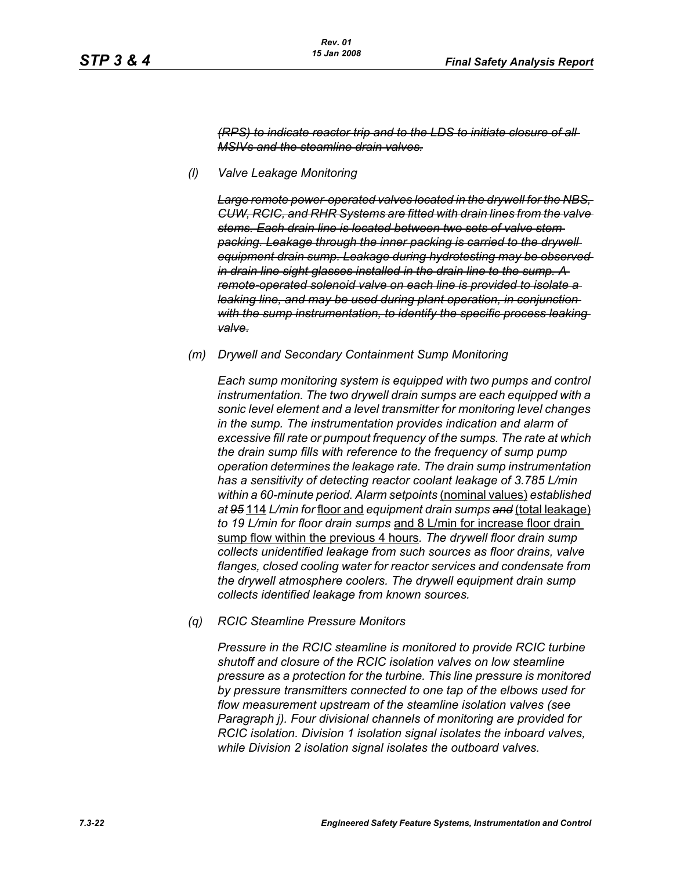*(RPS) to indicate reactor trip and to the LDS to initiate closure of all MSIVs and the steamline drain valves.*

*(l) Valve Leakage Monitoring* 

*Large remote power-operated valves located in the drywell for the NBS, CUW, RCIC, and RHR Systems are fitted with drain lines from the valve stems. Each drain line is located between two sets of valve stem packing. Leakage through the inner packing is carried to the drywell equipment drain sump. Leakage during hydrotesting may be observed in drain line sight glasses installed in the drain line to the sump. A remote-operated solenoid valve on each line is provided to isolate a leaking line, and may be used during plant operation, in conjunction*  with the sump instrumentation, to identify the specific process leaking *valve.*

*(m) Drywell and Secondary Containment Sump Monitoring* 

*Each sump monitoring system is equipped with two pumps and control instrumentation. The two drywell drain sumps are each equipped with a sonic level element and a level transmitter for monitoring level changes in the sump. The instrumentation provides indication and alarm of excessive fill rate or pumpout frequency of the sumps. The rate at which the drain sump fills with reference to the frequency of sump pump operation determines the leakage rate. The drain sump instrumentation has a sensitivity of detecting reactor coolant leakage of 3.785 L/min within a 60-minute period. Alarm setpoints* (nominal values) *established at 95* 114 *L/min for* floor and *equipment drain sumps and* (total leakage) *to 19 L/min for floor drain sumps* and 8 L/min for increase floor drain sump flow within the previous 4 hours*. The drywell floor drain sump collects unidentified leakage from such sources as floor drains, valve flanges, closed cooling water for reactor services and condensate from the drywell atmosphere coolers. The drywell equipment drain sump collects identified leakage from known sources.*

*(q) RCIC Steamline Pressure Monitors* 

*Pressure in the RCIC steamline is monitored to provide RCIC turbine shutoff and closure of the RCIC isolation valves on low steamline pressure as a protection for the turbine. This line pressure is monitored by pressure transmitters connected to one tap of the elbows used for flow measurement upstream of the steamline isolation valves (see Paragraph j). Four divisional channels of monitoring are provided for RCIC isolation. Division 1 isolation signal isolates the inboard valves, while Division 2 isolation signal isolates the outboard valves.*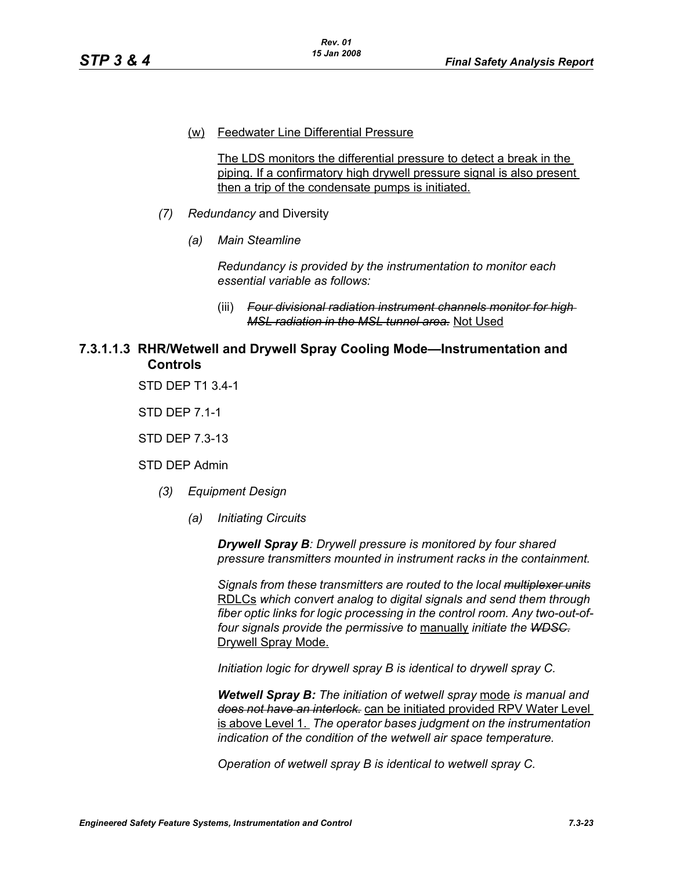#### (w) Feedwater Line Differential Pressure

The LDS monitors the differential pressure to detect a break in the piping. If a confirmatory high drywell pressure signal is also present then a trip of the condensate pumps is initiated.

- *(7) Redundancy* and Diversity
	- *(a) Main Steamline*

*Redundancy is provided by the instrumentation to monitor each essential variable as follows:*

(iii) *Four divisional radiation instrument channels monitor for high MSL radiation in the MSL tunnel area.* Not Used

# **7.3.1.1.3 RHR/Wetwell and Drywell Spray Cooling Mode—Instrumentation and Controls**

STD DEP T1 3.4-1

STD DEP 7.1-1

STD DEP 7.3-13

STD DEP Admin

- *(3) Equipment Design*
	- *(a) Initiating Circuits*

*Drywell Spray B: Drywell pressure is monitored by four shared pressure transmitters mounted in instrument racks in the containment.* 

*Signals from these transmitters are routed to the local multiplexer units* RDLCs *which convert analog to digital signals and send them through fiber optic links for logic processing in the control room. Any two-out-offour signals provide the permissive to* manually *initiate the WDSC.* Drywell Spray Mode.

*Initiation logic for drywell spray B is identical to drywell spray C.*

*Wetwell Spray B: The initiation of wetwell spray* mode *is manual and does not have an interlock.* can be initiated provided RPV Water Level is above Level 1. *The operator bases judgment on the instrumentation indication of the condition of the wetwell air space temperature.*

*Operation of wetwell spray B is identical to wetwell spray C.*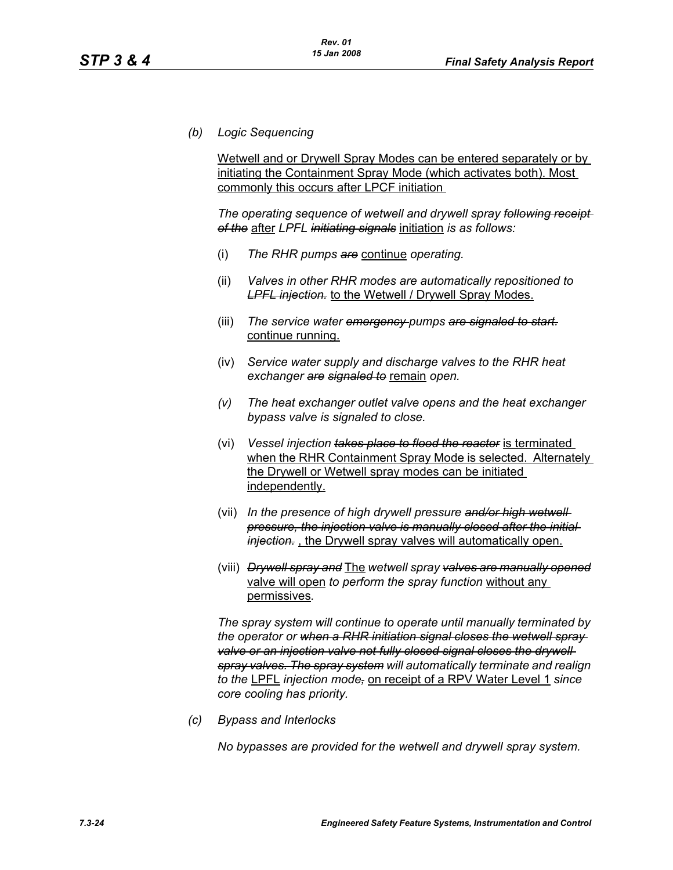*(b) Logic Sequencing*

Wetwell and or Drywell Spray Modes can be entered separately or by initiating the Containment Spray Mode (which activates both). Most commonly this occurs after LPCF initiation

*The operating sequence of wetwell and drywell spray following receipt of the* after *LPFL initiating signals* initiation *is as follows:*

- (i) *The RHR pumps are* continue *operating.*
- (ii) *Valves in other RHR modes are automatically repositioned to LPFL injection.* to the Wetwell / Drywell Spray Modes.
- (iii) *The service water emergency pumps are signaled to start.* continue running.
- (iv) *Service water supply and discharge valves to the RHR heat exchanger are signaled to* remain *open.*
- *(v) The heat exchanger outlet valve opens and the heat exchanger bypass valve is signaled to close.*
- (vi) *Vessel injection takes place to flood the reactor* is terminated when the RHR Containment Spray Mode is selected. Alternately the Drywell or Wetwell spray modes can be initiated independently.
- (vii) *In the presence of high drywell pressure and/or high wetwell pressure, the injection valve is manually closed after the initial injection.* , the Drywell spray valves will automatically open.
- (viii) *Drywell spray and* The *wetwell spray valves are manually opened* valve will open *to perform the spray function* without any permissives*.*

*The spray system will continue to operate until manually terminated by the operator or when a RHR initiation signal closes the wetwell spray*  valve or an injection valve not fully closed signal closes the drywell *spray valves. The spray system will automatically terminate and realign to the* LPFL *injection mode,* on receipt of a RPV Water Level 1 *since core cooling has priority.*

*(c) Bypass and Interlocks*

*No bypasses are provided for the wetwell and drywell spray system.*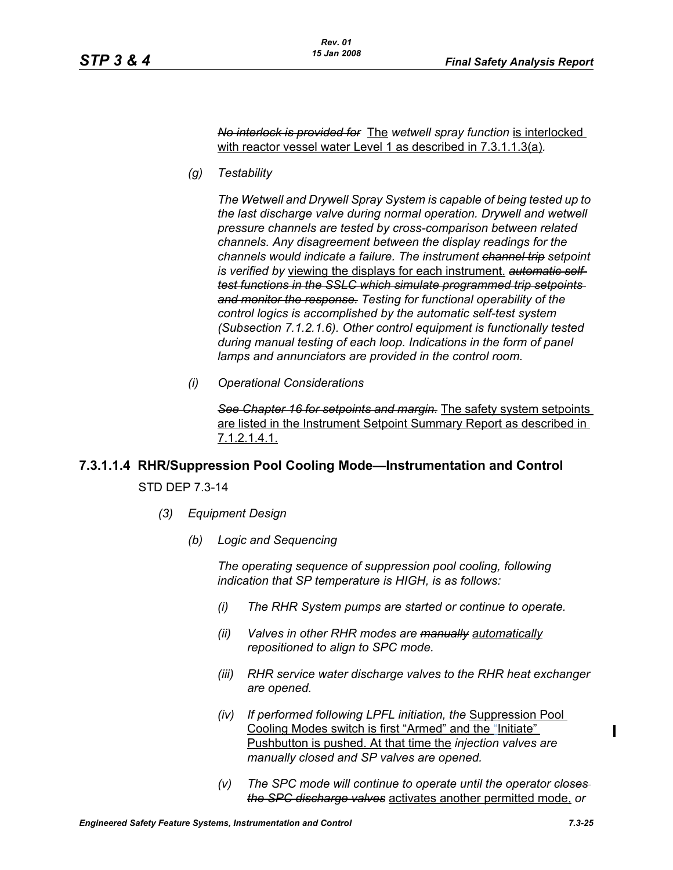*No interlock is provided for* The *wetwell spray function* is interlocked with reactor vessel water Level 1 as described in 7.3.1.1.3(a)*.*

*(g) Testability*

*The Wetwell and Drywell Spray System is capable of being tested up to the last discharge valve during normal operation. Drywell and wetwell pressure channels are tested by cross-comparison between related channels. Any disagreement between the display readings for the channels would indicate a failure. The instrument channel trip setpoint is verified by* viewing the displays for each instrument. *automatic selftest functions in the SSLC which simulate programmed trip setpoints and monitor the response. Testing for functional operability of the control logics is accomplished by the automatic self-test system (Subsection 7.1.2.1.6). Other control equipment is functionally tested during manual testing of each loop. Indications in the form of panel lamps and annunciators are provided in the control room.*

*(i) Operational Considerations*

*See Chapter 16 for setpoints and margin.* The safety system setpoints are listed in the Instrument Setpoint Summary Report as described in 7.1.2.1.4.1.

# **7.3.1.1.4 RHR/Suppression Pool Cooling Mode—Instrumentation and Control** STD DEP 7.3-14

- *(3) Equipment Design*
	- *(b) Logic and Sequencing*

*The operating sequence of suppression pool cooling, following indication that SP temperature is HIGH, is as follows:*

- *(i) The RHR System pumps are started or continue to operate.*
- *(ii) Valves in other RHR modes are manually automatically repositioned to align to SPC mode.*
- *(iii) RHR service water discharge valves to the RHR heat exchanger are opened.*
- *(iv) If performed following LPFL initiation, the* Suppression Pool Cooling Modes switch is first "Armed" and the "Initiate" Pushbutton is pushed. At that time the *injection valves are manually closed and SP valves are opened.*
- *(v) The SPC mode will continue to operate until the operator closes the SPC discharge valves* activates another permitted mode, *or*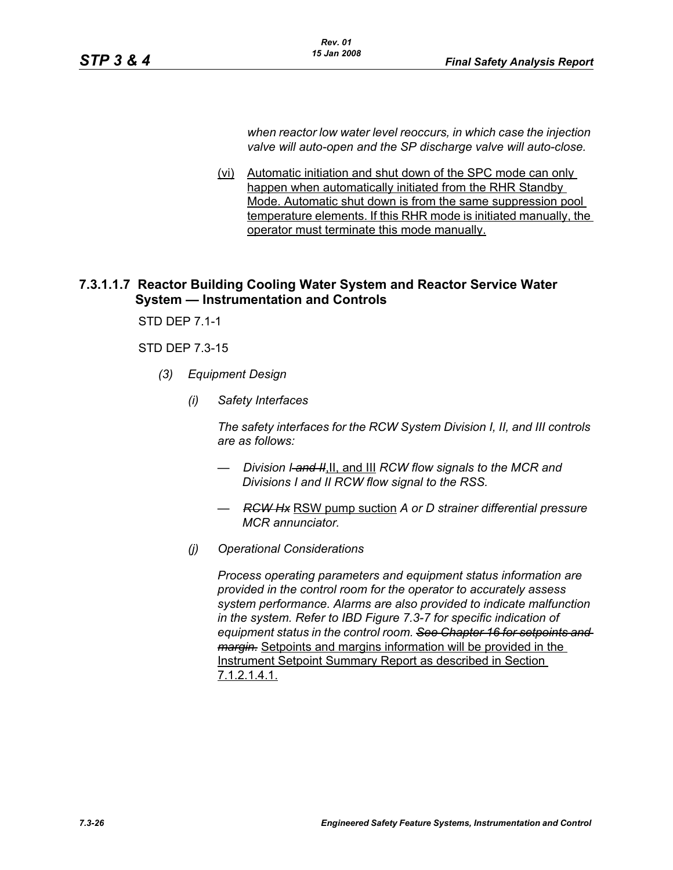*when reactor low water level reoccurs, in which case the injection valve will auto-open and the SP discharge valve will auto-close.*

(vi) Automatic initiation and shut down of the SPC mode can only happen when automatically initiated from the RHR Standby Mode. Automatic shut down is from the same suppression pool temperature elements. If this RHR mode is initiated manually, the operator must terminate this mode manually.

# **7.3.1.1.7 Reactor Building Cooling Water System and Reactor Service Water System — Instrumentation and Controls**

STD DEP 7.1-1

# STD DEP 7.3-15

- *(3) Equipment Design*
	- *(i) Safety Interfaces*

*The safety interfaces for the RCW System Division I, II, and III controls are as follows:*

- *Division I-and H.II, and III RCW flow signals to the MCR and Divisions I and II RCW flow signal to the RSS.*
- *RCW Hx* RSW pump suction *A or D strainer differential pressure MCR annunciator.*
- *(j) Operational Considerations*

*Process operating parameters and equipment status information are provided in the control room for the operator to accurately assess system performance. Alarms are also provided to indicate malfunction in the system. Refer to IBD Figure 7.3-7 for specific indication of equipment status in the control room. See Chapter 16 for setpoints and margin.* Setpoints and margins information will be provided in the Instrument Setpoint Summary Report as described in Section 7.1.2.1.4.1.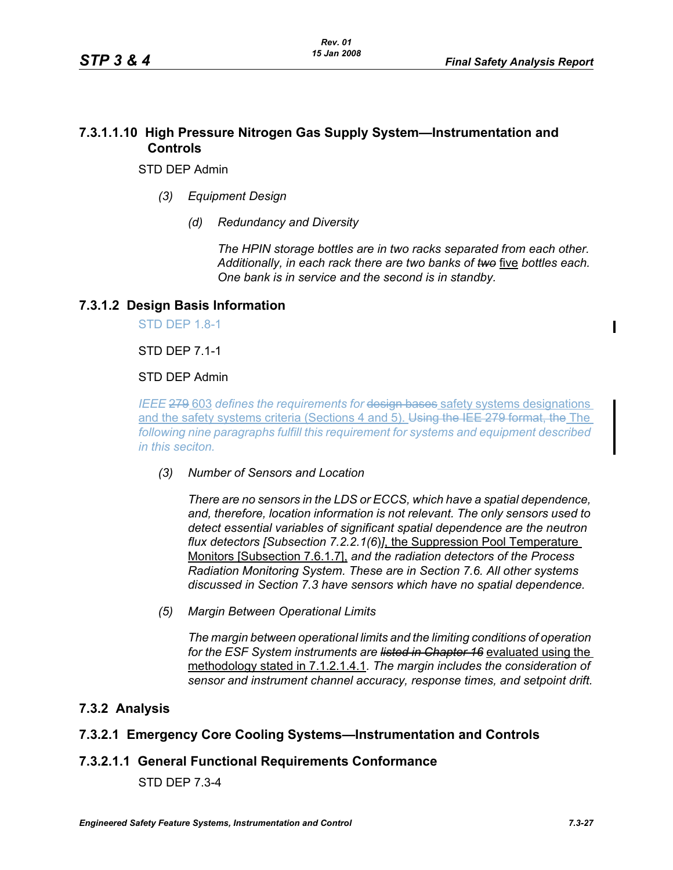# **7.3.1.1.10 High Pressure Nitrogen Gas Supply System—Instrumentation and Controls**

STD DEP Admin

- *(3) Equipment Design*
	- *(d) Redundancy and Diversity*

*The HPIN storage bottles are in two racks separated from each other. Additionally, in each rack there are two banks of two* five *bottles each. One bank is in service and the second is in standby.*

# **7.3.1.2 Design Basis Information**

STD DEP 1.8-1

STD DEP 7.1-1

# STD DEP Admin

*IEEE* 279 603 defines the requirements for design bases safety systems designations and the safety systems criteria (Sections 4 and 5). Using the IEE 279 format, the The *following nine paragraphs fulfill this requirement for systems and equipment described in this seciton.*

*(3) Number of Sensors and Location*

*There are no sensors in the LDS or ECCS, which have a spatial dependence, and, therefore, location information is not relevant. The only sensors used to detect essential variables of significant spatial dependence are the neutron flux detectors [Subsection 7.2.2.1(6*)*]*, the Suppression Pool Temperature Monitors [Subsection 7.6.1.7], *and the radiation detectors of the Process Radiation Monitoring System. These are in Section 7.6. All other systems discussed in Section 7.3 have sensors which have no spatial dependence.*

*(5) Margin Between Operational Limits*

*The margin between operational limits and the limiting conditions of operation for the ESF System instruments are listed in Chapter 16* evaluated using the methodology stated in 7.1.2.1.4.1*. The margin includes the consideration of sensor and instrument channel accuracy, response times, and setpoint drift.*

# **7.3.2 Analysis**

# **7.3.2.1 Emergency Core Cooling Systems—Instrumentation and Controls**

# **7.3.2.1.1 General Functional Requirements Conformance**

STD DEP 7.3-4

Π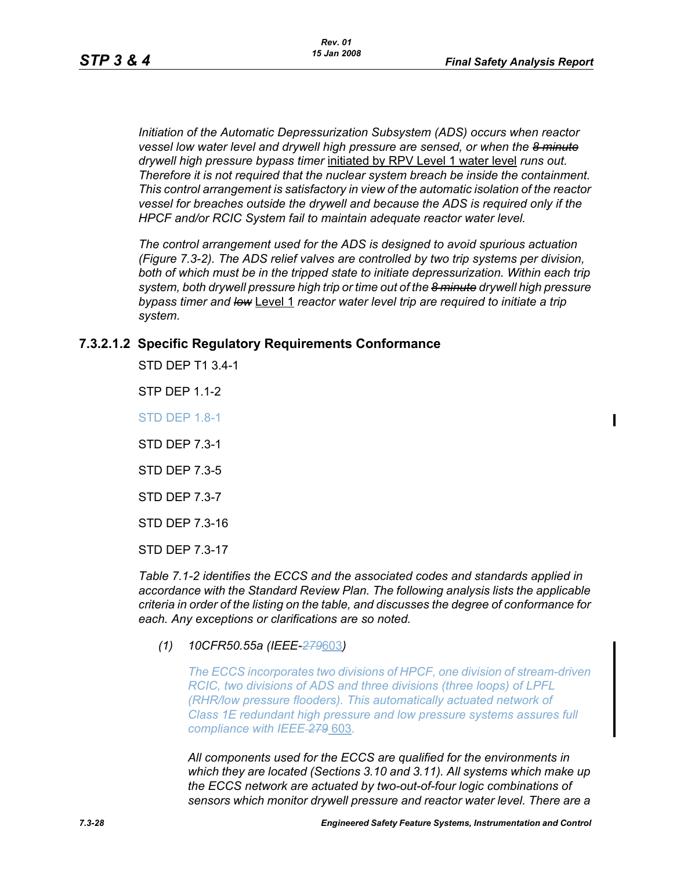*Initiation of the Automatic Depressurization Subsystem (ADS) occurs when reactor vessel low water level and drywell high pressure are sensed, or when the 8 minute drywell high pressure bypass timer* initiated by RPV Level 1 water level *runs out. Therefore it is not required that the nuclear system breach be inside the containment. This control arrangement is satisfactory in view of the automatic isolation of the reactor vessel for breaches outside the drywell and because the ADS is required only if the HPCF and/or RCIC System fail to maintain adequate reactor water level.*

*The control arrangement used for the ADS is designed to avoid spurious actuation (Figure 7.3-2). The ADS relief valves are controlled by two trip systems per division, both of which must be in the tripped state to initiate depressurization. Within each trip system, both drywell pressure high trip or time out of the 8 minute drywell high pressure bypass timer and low* Level 1 *reactor water level trip are required to initiate a trip system.*

# **7.3.2.1.2 Specific Regulatory Requirements Conformance**

STD DEP T1 3.4-1

STP DEP 1.1-2

STD DEP 1.8-1

STD DEP 7.3-1

STD DEP 7.3-5

STD DEP 7.3-7

STD DEP 7.3-16

STD DEP 7.3-17

*Table 7.1-2 identifies the ECCS and the associated codes and standards applied in accordance with the Standard Review Plan. The following analysis lists the applicable criteria in order of the listing on the table, and discusses the degree of conformance for each. Any exceptions or clarifications are so noted.*

*(1) 10CFR50.55a (IEEE-279*603*)*

*The ECCS incorporates two divisions of HPCF, one division of stream-driven RCIC, two divisions of ADS and three divisions (three loops) of LPFL (RHR/low pressure flooders). This automatically actuated network of Class 1E redundant high pressure and low pressure systems assures full compliance with IEEE 279* 603*.*

*All components used for the ECCS are qualified for the environments in which they are located (Sections 3.10 and 3.11). All systems which make up the ECCS network are actuated by two-out-of-four logic combinations of sensors which monitor drywell pressure and reactor water level. There are a*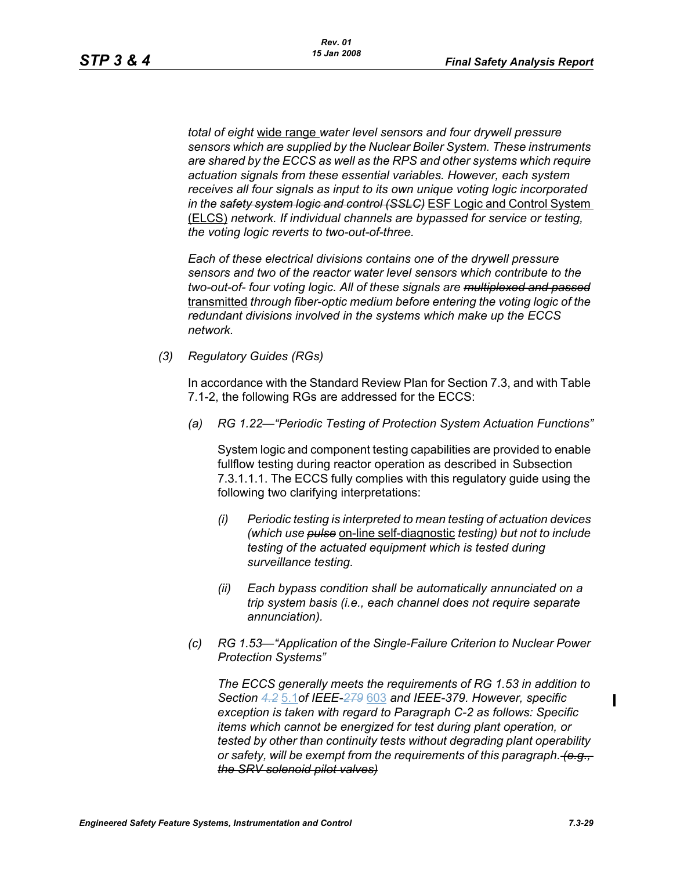*total of eight* wide range *water level sensors and four drywell pressure sensors which are supplied by the Nuclear Boiler System. These instruments are shared by the ECCS as well as the RPS and other systems which require actuation signals from these essential variables. However, each system receives all four signals as input to its own unique voting logic incorporated in the safety system logic and control (SSLC)* ESF Logic and Control System (ELCS) *network. If individual channels are bypassed for service or testing, the voting logic reverts to two-out-of-three.*

*Each of these electrical divisions contains one of the drywell pressure sensors and two of the reactor water level sensors which contribute to the two-out-of- four voting logic. All of these signals are multiplexed and passed* transmitted *through fiber-optic medium before entering the voting logic of the redundant divisions involved in the systems which make up the ECCS network.* 

*(3) Regulatory Guides (RGs)*

In accordance with the Standard Review Plan for Section 7.3, and with Table 7.1-2, the following RGs are addressed for the ECCS:

*(a) RG 1.22—"Periodic Testing of Protection System Actuation Functions"*

System logic and component testing capabilities are provided to enable fullflow testing during reactor operation as described in Subsection 7.3.1.1.1. The ECCS fully complies with this regulatory guide using the following two clarifying interpretations:

- *(i) Periodic testing is interpreted to mean testing of actuation devices (which use pulse* on-line self-diagnostic *testing) but not to include testing of the actuated equipment which is tested during surveillance testing.*
- *(ii) Each bypass condition shall be automatically annunciated on a trip system basis (i.e., each channel does not require separate annunciation).*
- *(c) RG 1.53—"Application of the Single-Failure Criterion to Nuclear Power Protection Systems"*

*The ECCS generally meets the requirements of RG 1.53 in addition to Section 4.2* 5.1*of IEEE-279* 603 *and IEEE-379. However, specific exception is taken with regard to Paragraph C-2 as follows: Specific items which cannot be energized for test during plant operation, or tested by other than continuity tests without degrading plant operability or safety, will be exempt from the requirements of this paragraph. (e.g., the SRV solenoid pilot valves)*

Π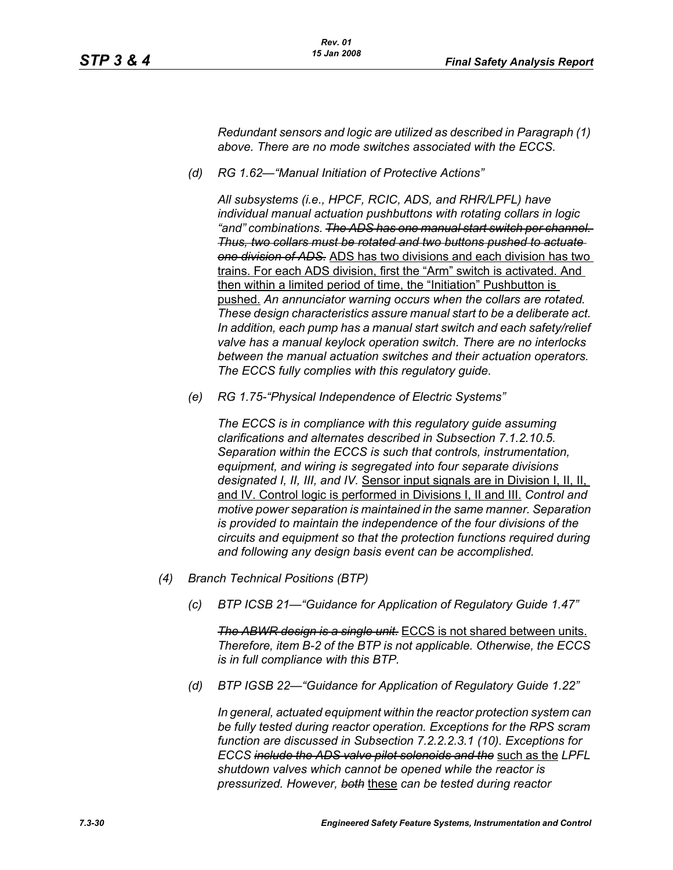*Redundant sensors and logic are utilized as described in Paragraph (1) above. There are no mode switches associated with the ECCS.*

*(d) RG 1.62—"Manual Initiation of Protective Actions"*

*All subsystems (i.e., HPCF, RCIC, ADS, and RHR/LPFL) have individual manual actuation pushbuttons with rotating collars in logic "and" combinations. The ADS has one manual start switch per channel. Thus, two collars must be rotated and two buttons pushed to actuate one division of ADS.* ADS has two divisions and each division has two trains. For each ADS division, first the "Arm" switch is activated. And then within a limited period of time, the "Initiation" Pushbutton is pushed. *An annunciator warning occurs when the collars are rotated. These design characteristics assure manual start to be a deliberate act. In addition, each pump has a manual start switch and each safety/relief valve has a manual keylock operation switch. There are no interlocks between the manual actuation switches and their actuation operators. The ECCS fully complies with this regulatory guide.*

*(e) RG 1.75-"Physical Independence of Electric Systems"*

*The ECCS is in compliance with this regulatory guide assuming clarifications and alternates described in Subsection 7.1.2.10.5. Separation within the ECCS is such that controls, instrumentation, equipment, and wiring is segregated into four separate divisions designated I, II, III, and IV.* Sensor input signals are in Division I, II, II, and IV. Control logic is performed in Divisions I, II and III. *Control and motive power separation is maintained in the same manner. Separation is provided to maintain the independence of the four divisions of the circuits and equipment so that the protection functions required during and following any design basis event can be accomplished.*

- *(4) Branch Technical Positions (BTP)*
	- *(c) BTP ICSB 21—"Guidance for Application of Regulatory Guide 1.47"*

*The ABWR design is a single unit.* ECCS is not shared between units. *Therefore, item B-2 of the BTP is not applicable. Otherwise, the ECCS is in full compliance with this BTP.*

*(d) BTP IGSB 22—"Guidance for Application of Regulatory Guide 1.22"*

*In general, actuated equipment within the reactor protection system can be fully tested during reactor operation. Exceptions for the RPS scram function are discussed in Subsection 7.2.2.2.3.1 (10). Exceptions for ECCS include the ADS valve pilot solenoids and the* such as the *LPFL shutdown valves which cannot be opened while the reactor is pressurized. However, both* these *can be tested during reactor*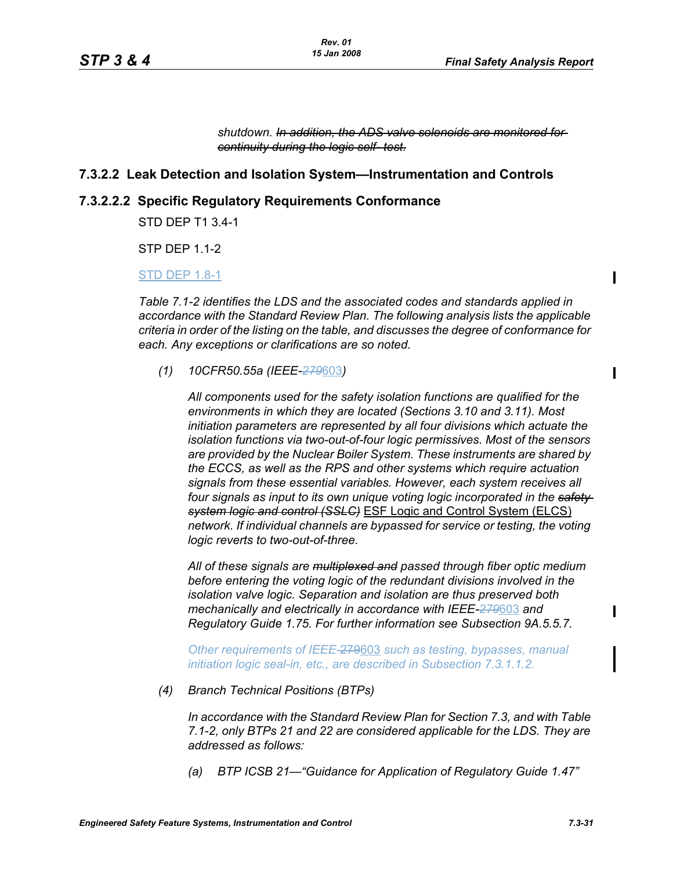Ι

П

 $\mathbf I$ 

*shutdown. In addition, the ADS valve solenoids are monitored for continuity during the logic self- test.*

### **7.3.2.2 Leak Detection and Isolation System—Instrumentation and Controls**

#### **7.3.2.2.2 Specific Regulatory Requirements Conformance**

STD DEP T1 3.4-1

STP DEP 1.1-2

#### STD DEP 1.8-1

*Table 7.1-2 identifies the LDS and the associated codes and standards applied in accordance with the Standard Review Plan. The following analysis lists the applicable criteria in order of the listing on the table, and discusses the degree of conformance for each. Any exceptions or clarifications are so noted.*

*(1) 10CFR50.55a (IEEE-279*603*)*

*All components used for the safety isolation functions are qualified for the environments in which they are located (Sections 3.10 and 3.11). Most initiation parameters are represented by all four divisions which actuate the isolation functions via two-out-of-four logic permissives. Most of the sensors are provided by the Nuclear Boiler System. These instruments are shared by the ECCS, as well as the RPS and other systems which require actuation signals from these essential variables. However, each system receives all four signals as input to its own unique voting logic incorporated in the safety system logic and control (SSLC)* ESF Logic and Control System (ELCS) *network. If individual channels are bypassed for service or testing, the voting logic reverts to two-out-of-three.*

*All of these signals are multiplexed and passed through fiber optic medium before entering the voting logic of the redundant divisions involved in the isolation valve logic. Separation and isolation are thus preserved both mechanically and electrically in accordance with IEEE-279*603 *and Regulatory Guide 1.75. For further information see Subsection 9A.5.5.7.*

*Other requirements of IEEE-*279603 *such as testing, bypasses, manual initiation logic seal-in, etc., are described in Subsection 7.3.1.1.2.*

*(4) Branch Technical Positions (BTPs)*

*In accordance with the Standard Review Plan for Section 7.3, and with Table 7.1-2, only BTPs 21 and 22 are considered applicable for the LDS. They are addressed as follows:*

*(a) BTP ICSB 21—"Guidance for Application of Regulatory Guide 1.47"*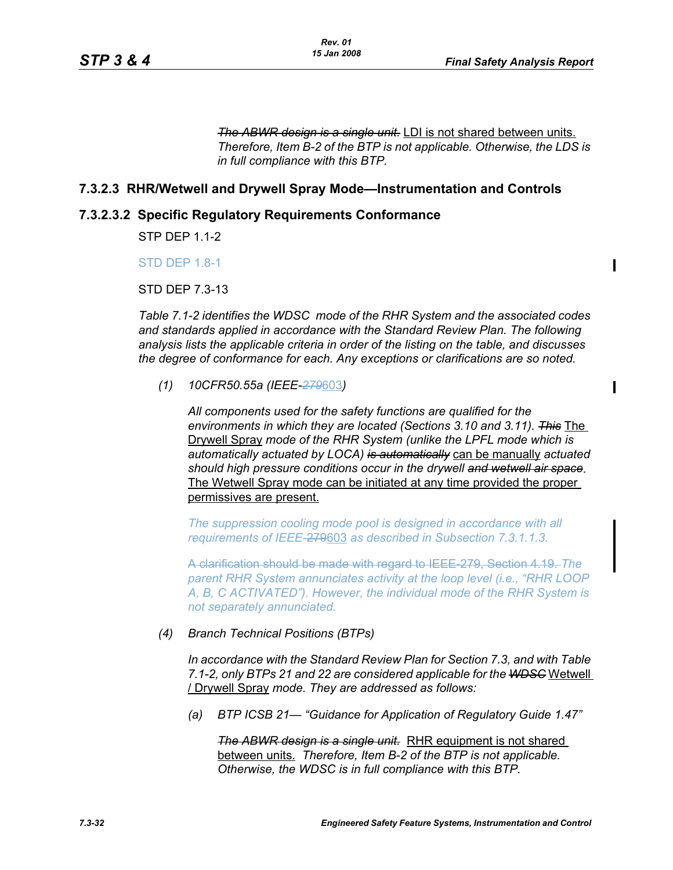$\mathbf I$ 

 $\mathbf I$ 

*The ABWR design is a single unit.* LDI is not shared between units. *Therefore, Item B-2 of the BTP is not applicable. Otherwise, the LDS is in full compliance with this BTP.*

# **7.3.2.3 RHR/Wetwell and Drywell Spray Mode—Instrumentation and Controls**

# **7.3.2.3.2 Specific Regulatory Requirements Conformance**

STP DEP 1.1-2

**STD DFP 1.8-1** 

STD DEP 7.3-13

*Table 7.1-2 identifies the WDSC mode of the RHR System and the associated codes and standards applied in accordance with the Standard Review Plan. The following analysis lists the applicable criteria in order of the listing on the table, and discusses the degree of conformance for each. Any exceptions or clarifications are so noted.*

*(1) 10CFR50.55a (IEEE-279*603*)*

*All components used for the safety functions are qualified for the environments in which they are located (Sections 3.10 and 3.11). This* The Drywell Spray *mode of the RHR System (unlike the LPFL mode which is automatically actuated by LOCA) is automatically* can be manually *actuated should high pressure conditions occur in the drywell and wetwell air space.* The Wetwell Spray mode can be initiated at any time provided the proper permissives are present.

*The suppression cooling mode pool is designed in accordance with all requirements of IEEE-*279603 *as described in Subsection 7.3.1.1.3.*

A clarification should be made with regard to IEEE-279, Section 4.19. *The parent RHR System annunciates activity at the loop level (i.e., "RHR LOOP A, B, C ACTIVATED"). However, the individual mode of the RHR System is not separately annunciated.*

#### *(4) Branch Technical Positions (BTPs)*

*In accordance with the Standard Review Plan for Section 7.3, and with Table 7.1-2, only BTPs 21 and 22 are considered applicable for the WDSC* Wetwell / Drywell Spray *mode. They are addressed as follows:*

*(a) BTP ICSB 21— "Guidance for Application of Regulatory Guide 1.47"*

**The ABWR design is a single unit.** RHR equipment is not shared between units. *Therefore, Item B-2 of the BTP is not applicable. Otherwise, the WDSC is in full compliance with this BTP.*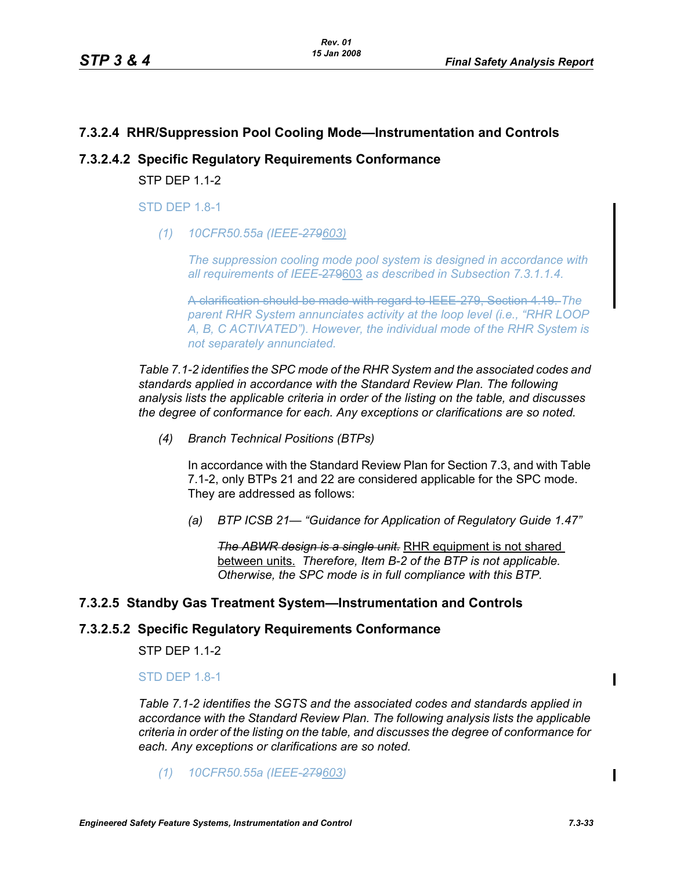# **7.3.2.4 RHR/Suppression Pool Cooling Mode—Instrumentation and Controls**

# **7.3.2.4.2 Specific Regulatory Requirements Conformance**

**STP DFP 1 1-2** 

**STD DFP 1.8-1** 

*(1) 10CFR50.55a (IEEE-279603)*

*The suppression cooling mode pool system is designed in accordance with all requirements of IEEE-*279603 *as described in Subsection 7.3.1.1.4.*

A clarification should be made with regard to IEEE-279, Section 4.19. *The parent RHR System annunciates activity at the loop level (i.e., "RHR LOOP A, B, C ACTIVATED"). However, the individual mode of the RHR System is not separately annunciated.*

*Table 7.1-2 identifies the SPC mode of the RHR System and the associated codes and standards applied in accordance with the Standard Review Plan. The following analysis lists the applicable criteria in order of the listing on the table, and discusses the degree of conformance for each. Any exceptions or clarifications are so noted.*

*(4) Branch Technical Positions (BTPs)*

In accordance with the Standard Review Plan for Section 7.3, and with Table 7.1-2, only BTPs 21 and 22 are considered applicable for the SPC mode. They are addressed as follows:

*(a) BTP ICSB 21— "Guidance for Application of Regulatory Guide 1.47"*

*The ABWR design is a single unit.* RHR equipment is not shared between units. *Therefore, Item B-2 of the BTP is not applicable. Otherwise, the SPC mode is in full compliance with this BTP.*

# **7.3.2.5 Standby Gas Treatment System—Instrumentation and Controls**

# **7.3.2.5.2 Specific Regulatory Requirements Conformance**

STP DEP 1.1-2

#### STD DEP 1.8-1

*Table 7.1-2 identifies the SGTS and the associated codes and standards applied in accordance with the Standard Review Plan. The following analysis lists the applicable criteria in order of the listing on the table, and discusses the degree of conformance for each. Any exceptions or clarifications are so noted.*

*(1) 10CFR50.55a (IEEE-279603)*

Π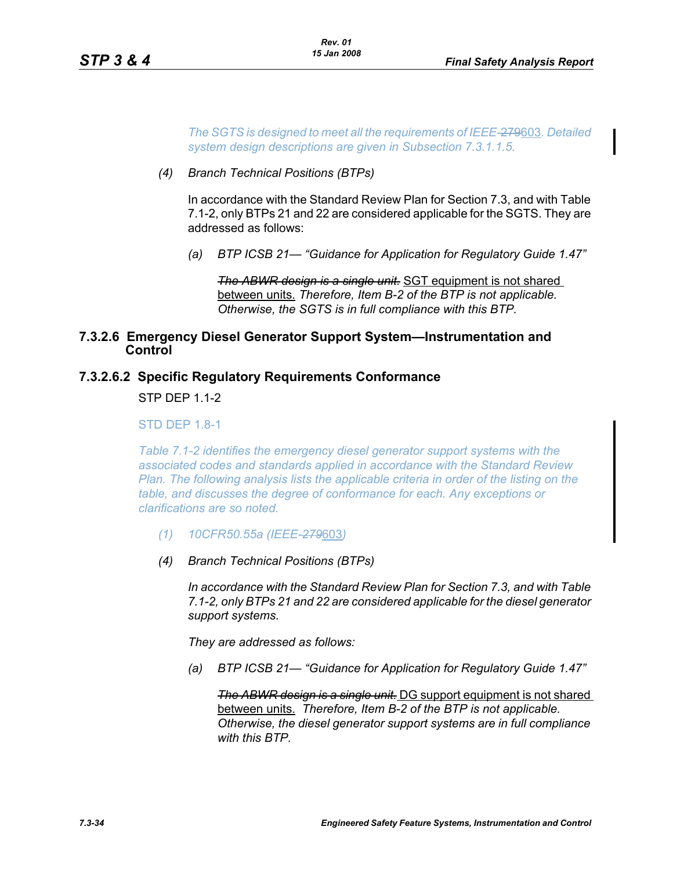*The SGTS is designed to meet all the requirements of IEEE-*279603*. Detailed system design descriptions are given in Subsection 7.3.1.1.5.*

*(4) Branch Technical Positions (BTPs)*

In accordance with the Standard Review Plan for Section 7.3, and with Table 7.1-2, only BTPs 21 and 22 are considered applicable for the SGTS. They are addressed as follows:

*(a) BTP ICSB 21— "Guidance for Application for Regulatory Guide 1.47"*

*The ABWR design is a single unit.* SGT equipment is not shared between units. *Therefore, Item B-2 of the BTP is not applicable. Otherwise, the SGTS is in full compliance with this BTP.*

# **7.3.2.6 Emergency Diesel Generator Support System—Instrumentation and Control**

### **7.3.2.6.2 Specific Regulatory Requirements Conformance**

**STP DFP 1 1-2** 

#### **STD DFP 1.8-1**

*Table 7.1-2 identifies the emergency diesel generator support systems with the associated codes and standards applied in accordance with the Standard Review Plan. The following analysis lists the applicable criteria in order of the listing on the table, and discusses the degree of conformance for each. Any exceptions or clarifications are so noted.*

- *(1) 10CFR50.55a (IEEE-279*603*)*
- *(4) Branch Technical Positions (BTPs)*

*In accordance with the Standard Review Plan for Section 7.3, and with Table 7.1-2, only BTPs 21 and 22 are considered applicable for the diesel generator support systems.*

*They are addressed as follows:*

*(a) BTP ICSB 21— "Guidance for Application for Regulatory Guide 1.47"*

*The ABWR design is a single unit.* DG support equipment is not shared between units. *Therefore, Item B-2 of the BTP is not applicable. Otherwise, the diesel generator support systems are in full compliance with this BTP.*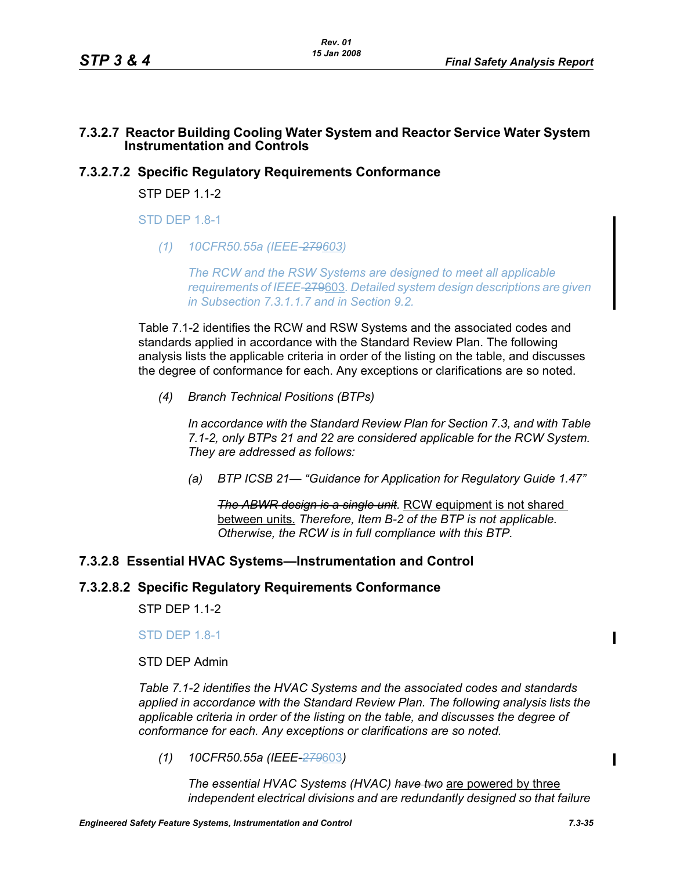# **7.3.2.7 Reactor Building Cooling Water System and Reactor Service Water System Instrumentation and Controls**

# **7.3.2.7.2 Specific Regulatory Requirements Conformance**

STP DFP 1 1-2

**STD DFP 1.8-1** 

*(1) 10CFR50.55a (IEEE-279603)*

*The RCW and the RSW Systems are designed to meet all applicable requirements of IEEE-*279603*. Detailed system design descriptions are given in Subsection 7.3.1.1.7 and in Section 9.2.*

Table 7.1-2 identifies the RCW and RSW Systems and the associated codes and standards applied in accordance with the Standard Review Plan. The following analysis lists the applicable criteria in order of the listing on the table, and discusses the degree of conformance for each. Any exceptions or clarifications are so noted.

*(4) Branch Technical Positions (BTPs)*

*In accordance with the Standard Review Plan for Section 7.3, and with Table 7.1-2, only BTPs 21 and 22 are considered applicable for the RCW System. They are addressed as follows:*

*(a) BTP ICSB 21— "Guidance for Application for Regulatory Guide 1.47"*

**The ABWR design is a single unit.** RCW equipment is not shared between units. *Therefore, Item B-2 of the BTP is not applicable. Otherwise, the RCW is in full compliance with this BTP.*

# **7.3.2.8 Essential HVAC Systems—Instrumentation and Control**

# **7.3.2.8.2 Specific Regulatory Requirements Conformance**

STP DEP 1.1-2

#### **STD DEP 1.8-1**

STD DEP Admin

*Table 7.1-2 identifies the HVAC Systems and the associated codes and standards applied in accordance with the Standard Review Plan. The following analysis lists the applicable criteria in order of the listing on the table, and discusses the degree of conformance for each. Any exceptions or clarifications are so noted.*

*(1) 10CFR50.55a (IEEE-279*603*)*

*The essential HVAC Systems (HVAC) have two* are powered by three *independent electrical divisions and are redundantly designed so that failure*   $\mathbf I$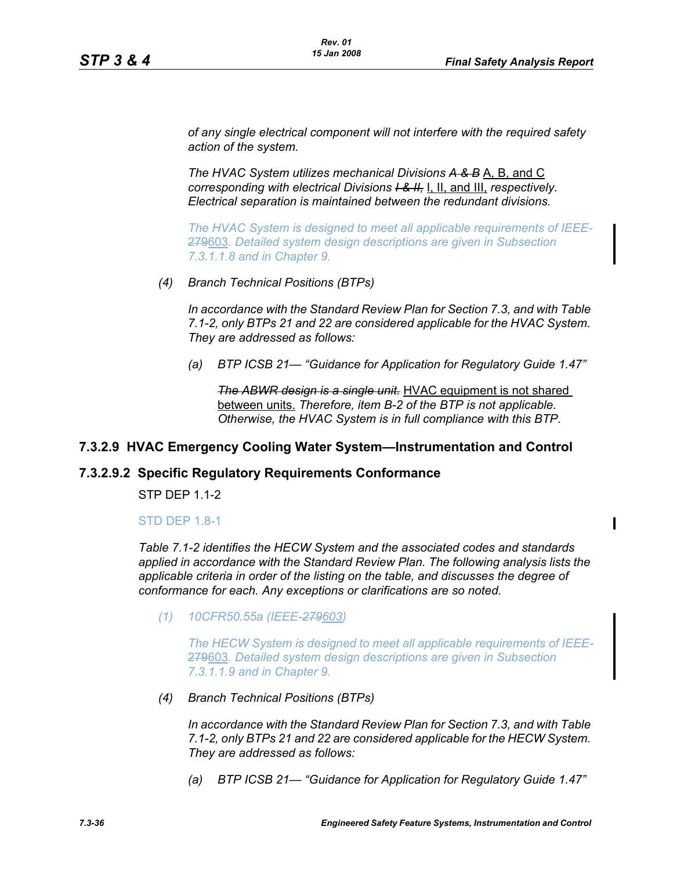*of any single electrical component will not interfere with the required safety action of the system.*

*The HVAC System utilizes mechanical Divisions A & B* A, B, and C *corresponding with electrical Divisions I & II,* I, II, and III, *respectively. Electrical separation is maintained between the redundant divisions.*

*The HVAC System is designed to meet all applicable requirements of IEEE-*279603*. Detailed system design descriptions are given in Subsection 7.3.1.1.8 and in Chapter 9.*

*(4) Branch Technical Positions (BTPs)*

*In accordance with the Standard Review Plan for Section 7.3, and with Table 7.1-2, only BTPs 21 and 22 are considered applicable for the HVAC System. They are addressed as follows:*

*(a) BTP ICSB 21— "Guidance for Application for Regulatory Guide 1.47"*

*The ABWR design is a single unit.* HVAC equipment is not shared between units. *Therefore, item B-2 of the BTP is not applicable. Otherwise, the HVAC System is in full compliance with this BTP.*

# **7.3.2.9 HVAC Emergency Cooling Water System—Instrumentation and Control**

#### **7.3.2.9.2 Specific Regulatory Requirements Conformance**

STP DEP 1.1-2

#### STD DEP 1.8-1

*Table 7.1-2 identifies the HECW System and the associated codes and standards applied in accordance with the Standard Review Plan. The following analysis lists the applicable criteria in order of the listing on the table, and discusses the degree of conformance for each. Any exceptions or clarifications are so noted.*

*(1) 10CFR50.55a (IEEE-279603)*

*The HECW System is designed to meet all applicable requirements of IEEE-*279603*. Detailed system design descriptions are given in Subsection 7.3.1.1.9 and in Chapter 9.*

*(4) Branch Technical Positions (BTPs)*

*In accordance with the Standard Review Plan for Section 7.3, and with Table 7.1-2, only BTPs 21 and 22 are considered applicable for the HECW System. They are addressed as follows:*

*(a) BTP ICSB 21— "Guidance for Application for Regulatory Guide 1.47"*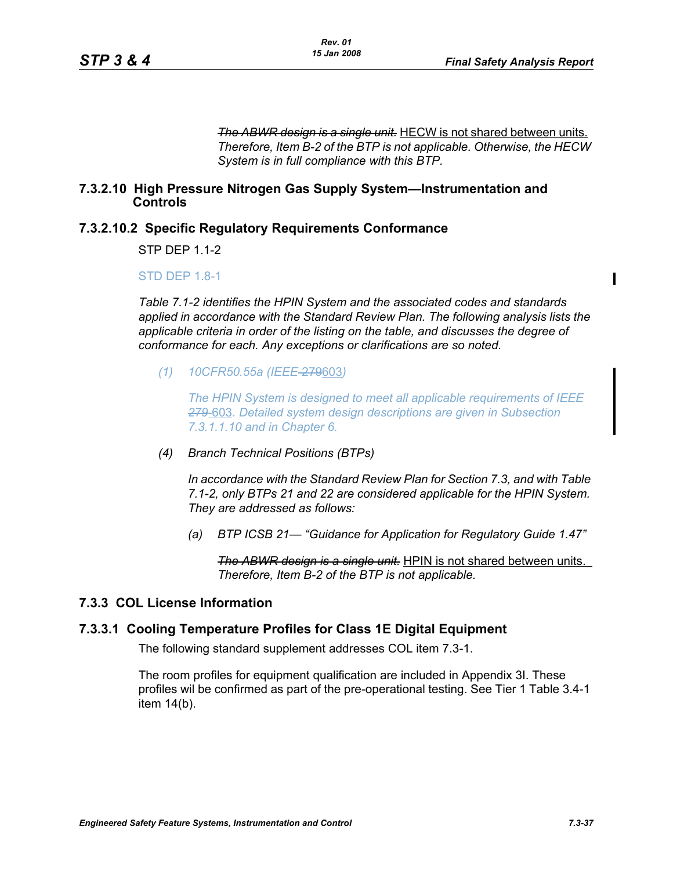$\blacksquare$ 

*The ABWR design is a single unit.* HECW is not shared between units. *Therefore, Item B-2 of the BTP is not applicable. Otherwise, the HECW System is in full compliance with this BTP.*

### **7.3.2.10 High Pressure Nitrogen Gas Supply System—Instrumentation and Controls**

# **7.3.2.10.2 Specific Regulatory Requirements Conformance**

STP DEP 1.1-2

### STD DEP 1.8-1

*Table 7.1-2 identifies the HPIN System and the associated codes and standards applied in accordance with the Standard Review Plan. The following analysis lists the applicable criteria in order of the listing on the table, and discusses the degree of conformance for each. Any exceptions or clarifications are so noted.*

*(1) 10CFR50.55a (IEEE*-279603*)*

*The HPIN System is designed to meet all applicable requirements of IEEE 279*-603*. Detailed system design descriptions are given in Subsection 7.3.1.1.10 and in Chapter 6.*

*(4) Branch Technical Positions (BTPs)*

*In accordance with the Standard Review Plan for Section 7.3, and with Table 7.1-2, only BTPs 21 and 22 are considered applicable for the HPIN System. They are addressed as follows:*

*(a) BTP ICSB 21— "Guidance for Application for Regulatory Guide 1.47"*

*The ABWR design is a single unit.* HPIN is not shared between units. *Therefore, Item B-2 of the BTP is not applicable.* 

# **7.3.3 COL License Information**

# **7.3.3.1 Cooling Temperature Profiles for Class 1E Digital Equipment**

The following standard supplement addresses COL item 7.3-1.

The room profiles for equipment qualification are included in Appendix 3I. These profiles wil be confirmed as part of the pre-operational testing. See Tier 1 Table 3.4-1 item 14(b).